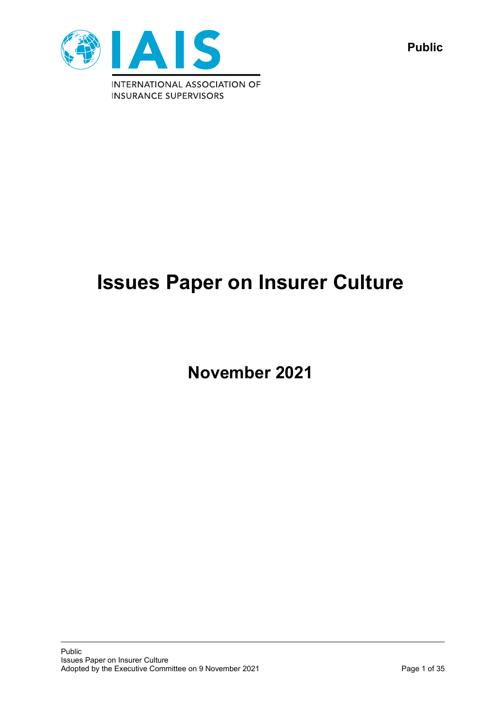

**Public**

# **Issues Paper on Insurer Culture**

**November 2021**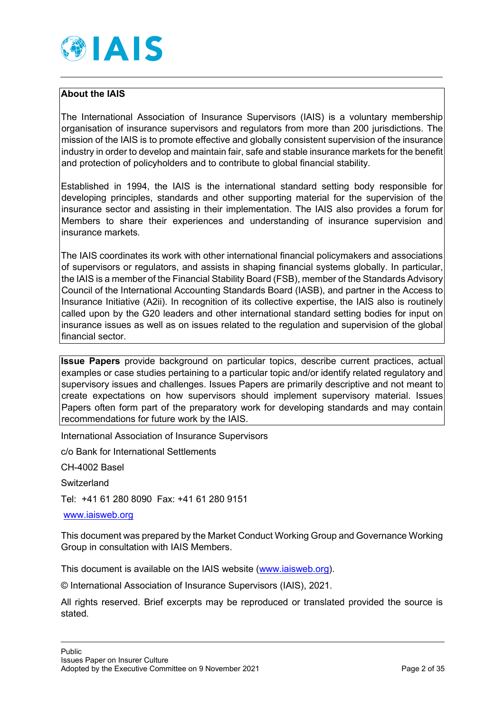

# **About the IAIS**

The International Association of Insurance Supervisors (IAIS) is a voluntary membership organisation of insurance supervisors and regulators from more than 200 jurisdictions. The mission of the IAIS is to promote effective and globally consistent supervision of the insurance industry in order to develop and maintain fair, safe and stable insurance markets for the benefit and protection of policyholders and to contribute to global financial stability.

Established in 1994, the IAIS is the international standard setting body responsible for developing principles, standards and other supporting material for the supervision of the insurance sector and assisting in their implementation. The IAIS also provides a forum for Members to share their experiences and understanding of insurance supervision and insurance markets.

The IAIS coordinates its work with other international financial policymakers and associations of supervisors or regulators, and assists in shaping financial systems globally. In particular, the IAIS is a member of the Financial Stability Board (FSB), member of the Standards Advisory Council of the International Accounting Standards Board (IASB), and partner in the Access to Insurance Initiative (A2ii). In recognition of its collective expertise, the IAIS also is routinely called upon by the G20 leaders and other international standard setting bodies for input on insurance issues as well as on issues related to the regulation and supervision of the global financial sector.

**Issue Papers** provide background on particular topics, describe current practices, actual examples or case studies pertaining to a particular topic and/or identify related regulatory and supervisory issues and challenges. Issues Papers are primarily descriptive and not meant to create expectations on how supervisors should implement supervisory material. Issues Papers often form part of the preparatory work for developing standards and may contain recommendations for future work by the IAIS.

International Association of Insurance Supervisors

c/o Bank for International Settlements

CH-4002 Basel

**Switzerland** 

Tel: +41 61 280 8090 Fax: +41 61 280 9151

[www.iaisweb.org](http://www.iaisweb.org/)

This document was prepared by the Market Conduct Working Group and Governance Working Group in consultation with IAIS Members.

This document is available on the IAIS website [\(www.iaisweb.org\)](http://www.iaisweb.org/).

© International Association of Insurance Supervisors (IAIS), 2021.

All rights reserved. Brief excerpts may be reproduced or translated provided the source is stated.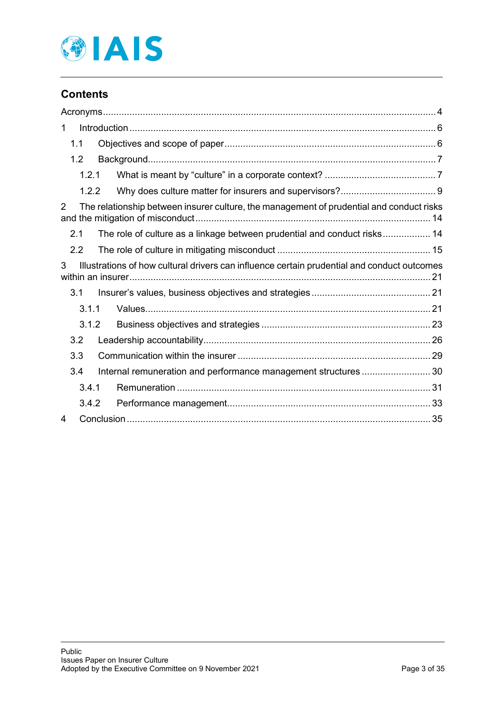

# **Contents**

| $\mathbf{1}$   |                                                                                             |  |
|----------------|---------------------------------------------------------------------------------------------|--|
| 1.1            |                                                                                             |  |
| 1.2            |                                                                                             |  |
| 1.2.1          |                                                                                             |  |
| 1.2.2          |                                                                                             |  |
| $\overline{2}$ | The relationship between insurer culture, the management of prudential and conduct risks    |  |
| 2.1            | The role of culture as a linkage between prudential and conduct risks 14                    |  |
| 2.2            |                                                                                             |  |
| 3              | Illustrations of how cultural drivers can influence certain prudential and conduct outcomes |  |
| 3.1            |                                                                                             |  |
| 3.1.1          |                                                                                             |  |
| 3.1.2          |                                                                                             |  |
| 3.2            |                                                                                             |  |
| 3.3            |                                                                                             |  |
| 3.4            | Internal remuneration and performance management structures 30                              |  |
| 3.4.1          |                                                                                             |  |
| 3.4.2          |                                                                                             |  |
| 4              |                                                                                             |  |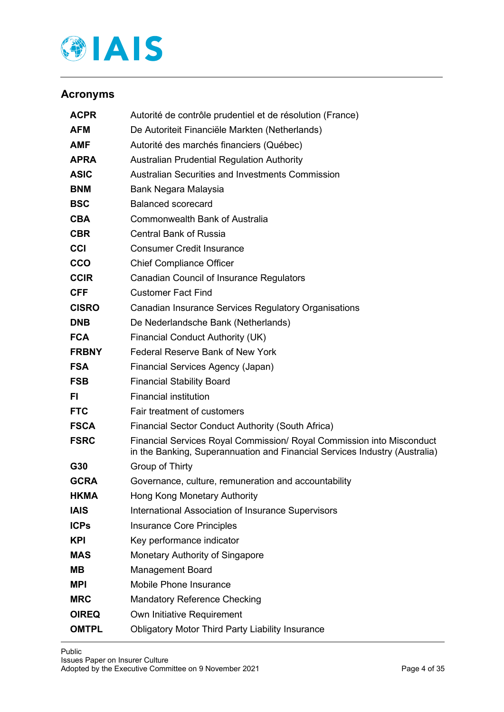

# <span id="page-3-0"></span>**Acronyms**

| <b>ACPR</b>  | Autorité de contrôle prudentiel et de résolution (France)                                                                                           |  |
|--------------|-----------------------------------------------------------------------------------------------------------------------------------------------------|--|
| <b>AFM</b>   | De Autoriteit Financiële Markten (Netherlands)                                                                                                      |  |
| <b>AMF</b>   | Autorité des marchés financiers (Québec)                                                                                                            |  |
| <b>APRA</b>  | <b>Australian Prudential Regulation Authority</b>                                                                                                   |  |
| <b>ASIC</b>  | Australian Securities and Investments Commission                                                                                                    |  |
| <b>BNM</b>   | Bank Negara Malaysia                                                                                                                                |  |
| <b>BSC</b>   | Balanced scorecard                                                                                                                                  |  |
| <b>CBA</b>   | <b>Commonwealth Bank of Australia</b>                                                                                                               |  |
| <b>CBR</b>   | Central Bank of Russia                                                                                                                              |  |
| <b>CCI</b>   | <b>Consumer Credit Insurance</b>                                                                                                                    |  |
| <b>CCO</b>   | <b>Chief Compliance Officer</b>                                                                                                                     |  |
| <b>CCIR</b>  | <b>Canadian Council of Insurance Regulators</b>                                                                                                     |  |
| <b>CFF</b>   | <b>Customer Fact Find</b>                                                                                                                           |  |
| <b>CISRO</b> | Canadian Insurance Services Regulatory Organisations                                                                                                |  |
| <b>DNB</b>   | De Nederlandsche Bank (Netherlands)                                                                                                                 |  |
| <b>FCA</b>   | <b>Financial Conduct Authority (UK)</b>                                                                                                             |  |
| <b>FRBNY</b> | <b>Federal Reserve Bank of New York</b>                                                                                                             |  |
| <b>FSA</b>   | Financial Services Agency (Japan)                                                                                                                   |  |
| <b>FSB</b>   | <b>Financial Stability Board</b>                                                                                                                    |  |
| FI.          | <b>Financial institution</b>                                                                                                                        |  |
| <b>FTC</b>   | Fair treatment of customers                                                                                                                         |  |
| <b>FSCA</b>  | <b>Financial Sector Conduct Authority (South Africa)</b>                                                                                            |  |
| <b>FSRC</b>  | Financial Services Royal Commission/ Royal Commission into Misconduct<br>in the Banking, Superannuation and Financial Services Industry (Australia) |  |
| G30          | Group of Thirty                                                                                                                                     |  |
| <b>GCRA</b>  | Governance, culture, remuneration and accountability                                                                                                |  |
| <b>HKMA</b>  | Hong Kong Monetary Authority                                                                                                                        |  |
| <b>IAIS</b>  | International Association of Insurance Supervisors                                                                                                  |  |
| <b>ICPS</b>  | <b>Insurance Core Principles</b>                                                                                                                    |  |
| <b>KPI</b>   | Key performance indicator                                                                                                                           |  |
| <b>MAS</b>   | Monetary Authority of Singapore                                                                                                                     |  |
| MВ           | <b>Management Board</b>                                                                                                                             |  |
| <b>MPI</b>   | Mobile Phone Insurance                                                                                                                              |  |
| <b>MRC</b>   | <b>Mandatory Reference Checking</b>                                                                                                                 |  |
| <b>OIREQ</b> | Own Initiative Requirement                                                                                                                          |  |
| <b>OMTPL</b> | <b>Obligatory Motor Third Party Liability Insurance</b>                                                                                             |  |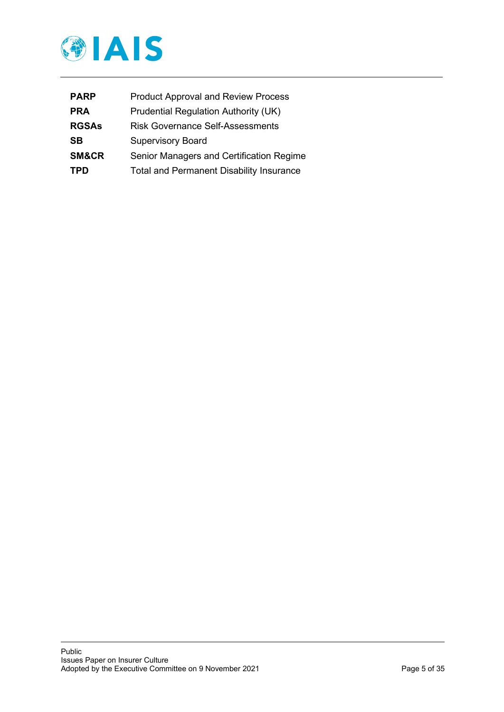

| <b>PARP</b>  | <b>Product Approval and Review Process</b>      |
|--------------|-------------------------------------------------|
| <b>PRA</b>   | Prudential Regulation Authority (UK)            |
| <b>RGSAs</b> | <b>Risk Governance Self-Assessments</b>         |
| <b>SB</b>    | <b>Supervisory Board</b>                        |
| SM&CR        | Senior Managers and Certification Regime        |
| <b>TPD</b>   | <b>Total and Permanent Disability Insurance</b> |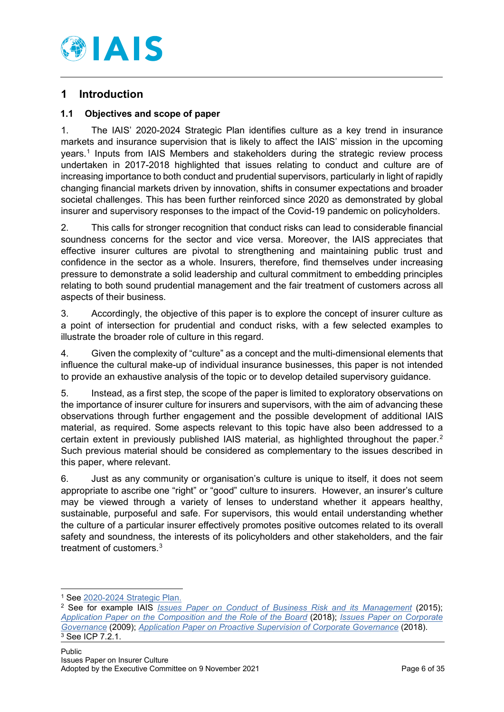

# <span id="page-5-0"></span>**1 Introduction**

# <span id="page-5-1"></span>**1.1 Objectives and scope of paper**

1. The IAIS' 2020-2024 Strategic Plan identifies culture as a key trend in insurance markets and insurance supervision that is likely to affect the IAIS' mission in the upcoming years. [1](#page-5-2) Inputs from IAIS Members and stakeholders during the strategic review process undertaken in 2017-2018 highlighted that issues relating to conduct and culture are of increasing importance to both conduct and prudential supervisors, particularly in light of rapidly changing financial markets driven by innovation, shifts in consumer expectations and broader societal challenges. This has been further reinforced since 2020 as demonstrated by global insurer and supervisory responses to the impact of the Covid-19 pandemic on policyholders.

2. This calls for stronger recognition that conduct risks can lead to considerable financial soundness concerns for the sector and vice versa. Moreover, the IAIS appreciates that effective insurer cultures are pivotal to strengthening and maintaining public trust and confidence in the sector as a whole. Insurers, therefore, find themselves under increasing pressure to demonstrate a solid leadership and cultural commitment to embedding principles relating to both sound prudential management and the fair treatment of customers across all aspects of their business.

3. Accordingly, the objective of this paper is to explore the concept of insurer culture as a point of intersection for prudential and conduct risks, with a few selected examples to illustrate the broader role of culture in this regard.

4. Given the complexity of "culture" as a concept and the multi-dimensional elements that influence the cultural make-up of individual insurance businesses, this paper is not intended to provide an exhaustive analysis of the topic or to develop detailed supervisory guidance.

5. Instead, as a first step, the scope of the paper is limited to exploratory observations on the importance of insurer culture for insurers and supervisors, with the aim of advancing these observations through further engagement and the possible development of additional IAIS material, as required. Some aspects relevant to this topic have also been addressed to a certain extent in previously published IAIS material, as highlighted throughout the paper.<sup>[2](#page-5-3)</sup> Such previous material should be considered as complementary to the issues described in this paper, where relevant.

6. Just as any community or organisation's culture is unique to itself, it does not seem appropriate to ascribe one "right" or "good" culture to insurers. However, an insurer's culture may be viewed through a variety of lenses to understand whether it appears healthy, sustainable, purposeful and safe. For supervisors, this would entail understanding whether the culture of a particular insurer effectively promotes positive outcomes related to its overall safety and soundness, the interests of its policyholders and other stakeholders, and the fair treatment of customers.<sup>[3](#page-5-4)</sup>

<sup>1</sup> See [2020-2024 Strategic Plan.](https://www.iaisweb.org/page/about-the-iais/strategic-plan/file/82533/2020-2024-strategic-plan)

<span id="page-5-4"></span><span id="page-5-3"></span><span id="page-5-2"></span><sup>2</sup> See for example IAIS *[Issues Paper on Conduct of Business Risk and its Management](https://www.iaisweb.org/page/supervisory-material/issues-papers/file/57927/issues-paper-on-conduct-of-business-risk-and-its-management)* (2015); *[Application Paper on the Composition and the Role of the Board](https://www.iaisweb.org/page/supervisory-material/application-papers/file/77741/application-paper-on-the-composition-and-the-role-of-the-board)* (2018); *[Issues Paper on Corporate](https://www.iaisweb.org/page/supervisory-material/issues-papers/file/34277/issues-paper-on-corporate-governance-july-2009)  [Governance](https://www.iaisweb.org/page/supervisory-material/issues-papers/file/34277/issues-paper-on-corporate-governance-july-2009)* (2009); *[Application Paper on Proactive Supervision of Corporate Governance](https://www.iaisweb.org/page/supervisory-material/application-papers/file/80572/application-paper-on-proactive-supervision-of-corporate-governance)* (2018).  $3$  See ICP 7.2.1.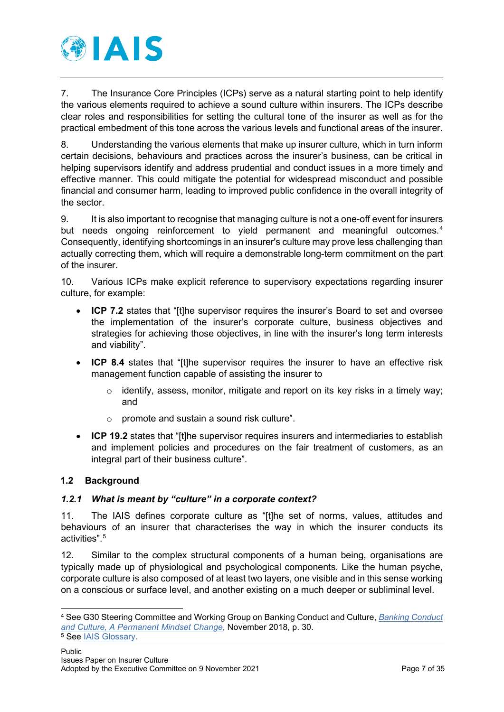

7. The Insurance Core Principles (ICPs) serve as a natural starting point to help identify the various elements required to achieve a sound culture within insurers. The ICPs describe clear roles and responsibilities for setting the cultural tone of the insurer as well as for the practical embedment of this tone across the various levels and functional areas of the insurer.

8. Understanding the various elements that make up insurer culture, which in turn inform certain decisions, behaviours and practices across the insurer's business, can be critical in helping supervisors identify and address prudential and conduct issues in a more timely and effective manner. This could mitigate the potential for widespread misconduct and possible financial and consumer harm, leading to improved public confidence in the overall integrity of the sector.

9. It is also important to recognise that managing culture is not a one-off event for insurers but needs ongoing reinforcement to yield permanent and meaningful outcomes.<sup>[4](#page-6-2)</sup> Consequently, identifying shortcomings in an insurer's culture may prove less challenging than actually correcting them, which will require a demonstrable long-term commitment on the part of the insurer.

10. Various ICPs make explicit reference to supervisory expectations regarding insurer culture, for example:

- **ICP 7.2** states that "[t]he supervisor requires the insurer's Board to set and oversee the implementation of the insurer's corporate culture, business objectives and strategies for achieving those objectives, in line with the insurer's long term interests and viability".
- **ICP 8.4** states that "[t]he supervisor requires the insurer to have an effective risk management function capable of assisting the insurer to
	- $\circ$  identify, assess, monitor, mitigate and report on its key risks in a timely way; and
	- o promote and sustain a sound risk culture".
- **ICP 19.2** states that "[t]he supervisor requires insurers and intermediaries to establish and implement policies and procedures on the fair treatment of customers, as an integral part of their business culture".

# <span id="page-6-0"></span>**1.2 Background**

# <span id="page-6-1"></span>*1.2.1 What is meant by "culture" in a corporate context?*

11. The IAIS defines corporate culture as "[t]he set of norms, values, attitudes and behaviours of an insurer that characterises the way in which the insurer conducts its activities"[.5](#page-6-3)

12. Similar to the complex structural components of a human being, organisations are typically made up of physiological and psychological components. Like the human psyche, corporate culture is also composed of at least two layers, one visible and in this sense working on a conscious or surface level, and another existing on a much deeper or subliminal level.

<span id="page-6-3"></span><span id="page-6-2"></span><sup>4</sup> See G30 Steering Committee and Working Group on Banking Conduct and Culture, *[Banking Conduct](https://group30.org/images/uploads/publications/aaG30_Culture2018.pdf)  [and Culture, A Permanent Mindset Change](https://group30.org/images/uploads/publications/aaG30_Culture2018.pdf)*, November 2018, p. 30. <sup>5</sup> See [IAIS Glossary.](https://www.iaisweb.org/page/supervisory-material/glossary)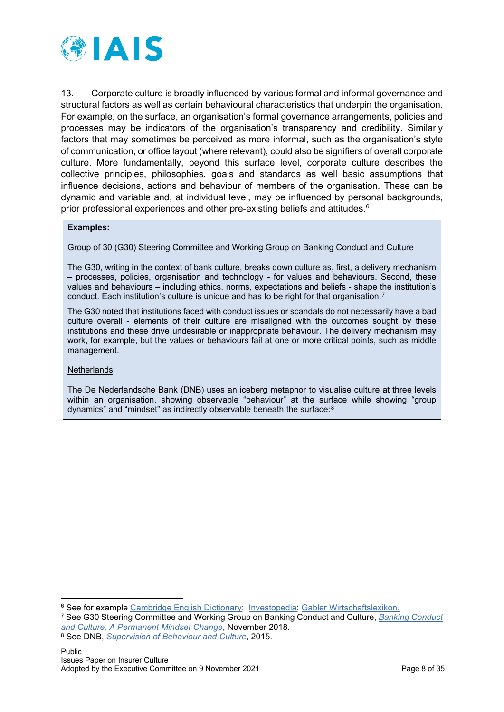

13. Corporate culture is broadly influenced by various formal and informal governance and structural factors as well as certain behavioural characteristics that underpin the organisation. For example, on the surface, an organisation's formal governance arrangements, policies and processes may be indicators of the organisation's transparency and credibility. Similarly factors that may sometimes be perceived as more informal, such as the organisation's style of communication, or office layout (where relevant), could also be signifiers of overall corporate culture. More fundamentally, beyond this surface level, corporate culture describes the collective principles, philosophies, goals and standards as well basic assumptions that influence decisions, actions and behaviour of members of the organisation. These can be dynamic and variable and, at individual level, may be influenced by personal backgrounds, prior professional experiences and other pre-existing beliefs and attitudes.[6](#page-7-0)

## **Examples:**

## Group of 30 (G30) Steering Committee and Working Group on Banking Conduct and Culture

The G30, writing in the context of bank culture, breaks down culture as, first, a delivery mechanism – processes, policies, organisation and technology - for values and behaviours. Second, these values and behaviours – including ethics, norms, expectations and beliefs - shape the institution's conduct. Each institution's culture is unique and has to be right for that organisation.<sup>7</sup>

The G30 noted that institutions faced with conduct issues or scandals do not necessarily have a bad culture overall - elements of their culture are misaligned with the outcomes sought by these institutions and these drive undesirable or inappropriate behaviour. The delivery mechanism may work, for example, but the values or behaviours fail at one or more critical points, such as middle management.

#### **Netherlands**

The De Nederlandsche Bank (DNB) uses an iceberg metaphor to visualise culture at three levels within an organisation, showing observable "behaviour" at the surface while showing "group dynamics" and "mindset" as indirectly observable beneath the surface:[8](#page-7-2)

<span id="page-7-0"></span><sup>6</sup> See for example [Cambridge English Dictionary;](https://dictionary.cambridge.org/dictionary/english/corporate-culture) [Investopedia;](https://www.investopedia.com/terms/c/corporate-culture.asp) [Gabler Wirtschaftslexikon.](https://wirtschaftslexikon.gabler.de/definition/unternehmenskultur-49642)

<span id="page-7-2"></span><span id="page-7-1"></span><sup>7</sup> See G30 Steering Committee and Working Group on Banking Conduct and Culture, *[Banking Conduct](https://group30.org/images/uploads/publications/aaG30_Culture2018.pdf)  [and Culture, A Permanent Mindset Change](https://group30.org/images/uploads/publications/aaG30_Culture2018.pdf)*, November 2018. <sup>8</sup> See DNB, *[Supervision of Behaviour and Culture](https://www.dnb.nl/media/1gmkp1vk/supervision-of-behaviour-and-culture_tcm46-380398-1.pdf)*, 2015.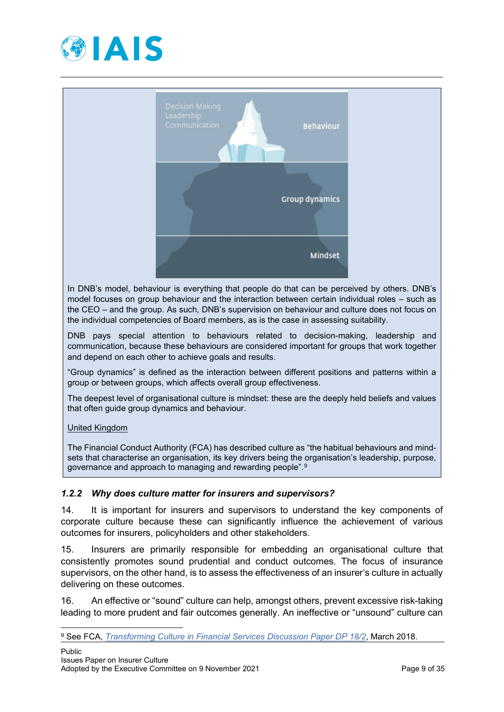



In DNB's model, behaviour is everything that people do that can be perceived by others. DNB's model focuses on group behaviour and the interaction between certain individual roles – such as the CEO – and the group. As such, DNB's supervision on behaviour and culture does not focus on the individual competencies of Board members, as is the case in assessing suitability.

DNB pays special attention to behaviours related to decision-making, leadership and communication, because these behaviours are considered important for groups that work together and depend on each other to achieve goals and results.

"Group dynamics" is defined as the interaction between different positions and patterns within a group or between groups, which affects overall group effectiveness.

The deepest level of organisational culture is mindset: these are the deeply held beliefs and values that often guide group dynamics and behaviour.

United Kingdom

The Financial Conduct Authority (FCA) has described culture as "the habitual behaviours and mindsets that characterise an organisation, its key drivers being the organisation's leadership, purpose, governance and approach to managing and rewarding people".[9](#page-8-1)

## <span id="page-8-0"></span>*1.2.2 Why does culture matter for insurers and supervisors?*

14. It is important for insurers and supervisors to understand the key components of corporate culture because these can significantly influence the achievement of various outcomes for insurers, policyholders and other stakeholders.

15. Insurers are primarily responsible for embedding an organisational culture that consistently promotes sound prudential and conduct outcomes. The focus of insurance supervisors, on the other hand, is to assess the effectiveness of an insurer's culture in actually delivering on these outcomes.

16. An effective or "sound" culture can help, amongst others, prevent excessive risk-taking leading to more prudent and fair outcomes generally. An ineffective or "unsound" culture can

<span id="page-8-1"></span><sup>9</sup> See FCA, *[Transforming Culture in Financial Services](https://www.fca.org.uk/publication/discussion/dp18-02.pdf) Discussion Paper DP 18/2*, March 2018.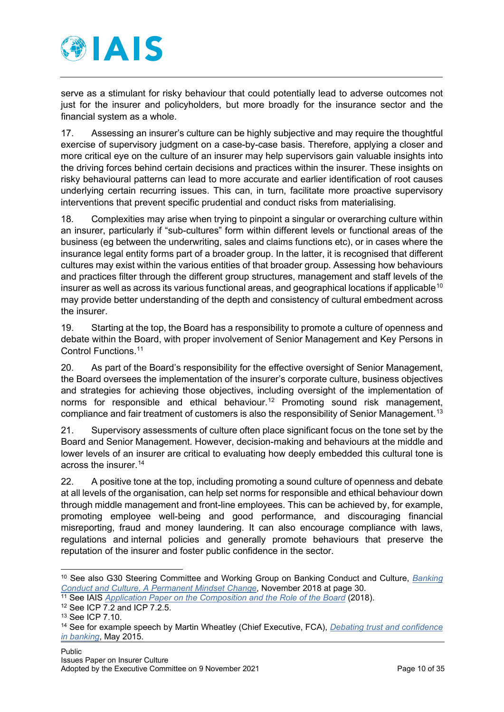

serve as a stimulant for risky behaviour that could potentially lead to adverse outcomes not just for the insurer and policyholders, but more broadly for the insurance sector and the financial system as a whole.

17. Assessing an insurer's culture can be highly subjective and may require the thoughtful exercise of supervisory judgment on a case-by-case basis. Therefore, applying a closer and more critical eye on the culture of an insurer may help supervisors gain valuable insights into the driving forces behind certain decisions and practices within the insurer. These insights on risky behavioural patterns can lead to more accurate and earlier identification of root causes underlying certain recurring issues. This can, in turn, facilitate more proactive supervisory interventions that prevent specific prudential and conduct risks from materialising.

18. Complexities may arise when trying to pinpoint a singular or overarching culture within an insurer, particularly if "sub-cultures" form within different levels or functional areas of the business (eg between the underwriting, sales and claims functions etc), or in cases where the insurance legal entity forms part of a broader group. In the latter, it is recognised that different cultures may exist within the various entities of that broader group. Assessing how behaviours and practices filter through the different group structures, management and staff levels of the insurer as well as across its various functional areas, and geographical locations if applicable<sup>[10](#page-9-0)</sup> may provide better understanding of the depth and consistency of cultural embedment across the insurer.

19. Starting at the top, the Board has a responsibility to promote a culture of openness and debate within the Board, with proper involvement of Senior Management and Key Persons in Control Functions. [11](#page-9-1)

20. As part of the Board's responsibility for the effective oversight of Senior Management, the Board oversees the implementation of the insurer's corporate culture, business objectives and strategies for achieving those objectives, including oversight of the implementation of norms for responsible and ethical behaviour.<sup>[12](#page-9-2)</sup> Promoting sound risk management, compliance and fair treatment of customers is also the responsibility of Senior Management.<sup>[13](#page-9-3)</sup>

21. Supervisory assessments of culture often place significant focus on the tone set by the Board and Senior Management. However, decision-making and behaviours at the middle and lower levels of an insurer are critical to evaluating how deeply embedded this cultural tone is across the insurer.[14](#page-9-4)

22. A positive tone at the top, including promoting a sound culture of openness and debate at all levels of the organisation, can help set norms for responsible and ethical behaviour down through middle management and front-line employees. This can be achieved by, for example, promoting employee well-being and good performance, and discouraging financial misreporting, fraud and money laundering. It can also encourage compliance with laws, regulations and internal policies and generally promote behaviours that preserve the reputation of the insurer and foster public confidence in the sector.

<span id="page-9-0"></span><sup>10</sup> See also G30 Steering Committee and Working Group on Banking Conduct and Culture, *[Banking](https://group30.org/images/uploads/publications/aaG30_Culture2018.pdf)  [Conduct and Culture, A Permanent Mindset Change](https://group30.org/images/uploads/publications/aaG30_Culture2018.pdf)*, November 2018 at page 30.

<span id="page-9-1"></span><sup>&</sup>lt;sup>11</sup> See IAIS *[Application Paper on the Composition and the Role of the Board](https://www.iaisweb.org/page/supervisory-material/application-papers/file/77741/application-paper-on-the-composition-and-the-role-of-the-board)* (2018).

<span id="page-9-2"></span><sup>12</sup> See ICP 7.2 and ICP 7.2.5.

<span id="page-9-3"></span><sup>13</sup> See ICP 7.10.

<span id="page-9-4"></span><sup>14</sup> See for example speech by Martin Wheatley (Chief Executive, FCA), *[Debating trust and confidence](https://www.fca.org.uk/news/speeches/debating-trust-and-confidence-banking)  [in banking](https://www.fca.org.uk/news/speeches/debating-trust-and-confidence-banking)*, May 2015.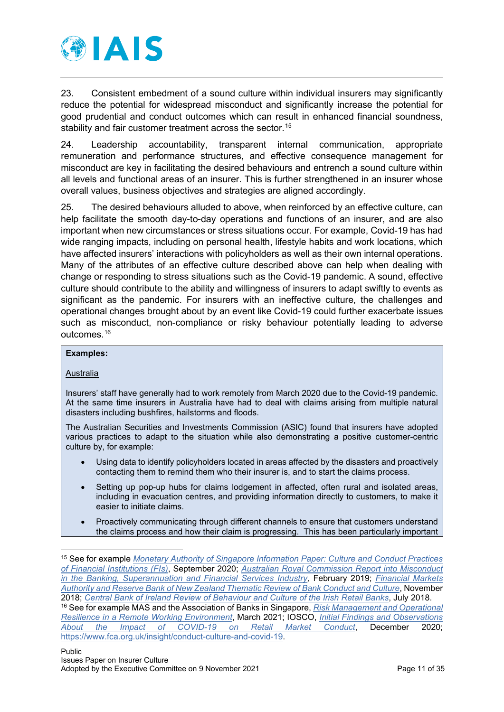

23. Consistent embedment of a sound culture within individual insurers may significantly reduce the potential for widespread misconduct and significantly increase the potential for good prudential and conduct outcomes which can result in enhanced financial soundness, stability and fair customer treatment across the sector.<sup>[15](#page-10-0)</sup>

24. Leadership accountability, transparent internal communication, appropriate remuneration and performance structures, and effective consequence management for misconduct are key in facilitating the desired behaviours and entrench a sound culture within all levels and functional areas of an insurer. This is further strengthened in an insurer whose overall values, business objectives and strategies are aligned accordingly.

25. The desired behaviours alluded to above, when reinforced by an effective culture, can help facilitate the smooth day-to-day operations and functions of an insurer, and are also important when new circumstances or stress situations occur. For example, Covid-19 has had wide ranging impacts, including on personal health, lifestyle habits and work locations, which have affected insurers' interactions with policyholders as well as their own internal operations. Many of the attributes of an effective culture described above can help when dealing with change or responding to stress situations such as the Covid-19 pandemic. A sound, effective culture should contribute to the ability and willingness of insurers to adapt swiftly to events as significant as the pandemic. For insurers with an ineffective culture, the challenges and operational changes brought about by an event like Covid-19 could further exacerbate issues such as misconduct, non-compliance or risky behaviour potentially leading to adverse outcomes.<sup>[16](#page-10-1)</sup>

#### **Examples:**

#### **Australia**

Insurers' staff have generally had to work remotely from March 2020 due to the Covid-19 pandemic. At the same time insurers in Australia have had to deal with claims arising from multiple natural disasters including bushfires, hailstorms and floods.

The Australian Securities and Investments Commission (ASIC) found that insurers have adopted various practices to adapt to the situation while also demonstrating a positive customer-centric culture by, for example:

- Using data to identify policyholders located in areas affected by the disasters and proactively contacting them to remind them who their insurer is, and to start the claims process.
- Setting up pop-up hubs for claims lodgement in affected, often rural and isolated areas. including in evacuation centres, and providing information directly to customers, to make it easier to initiate claims.
- Proactively communicating through different channels to ensure that customers understand the claims process and how their claim is progressing. This has been particularly important

<span id="page-10-0"></span><sup>15</sup> See for example *[Monetary Authority of Singapore Information Paper: Culture and Conduct Practices](https://www.mas.gov.sg/-/media/MAS/MPI/Guidelines/Information-Paper-on-Culture-and-Conduct-Practices-of-Financial-Institutions.pdf)  [of Financial Institutions \(FIs\)](https://www.mas.gov.sg/-/media/MAS/MPI/Guidelines/Information-Paper-on-Culture-and-Conduct-Practices-of-Financial-Institutions.pdf)*, September 2020; *[Australian Royal Commission Report into Misconduct](https://www.royalcommission.gov.au/system/files/2020-09/fsrc-volume-1-final-report.pdf)  [in the Banking, Superannuation and Financial Services Industry,](https://www.royalcommission.gov.au/system/files/2020-09/fsrc-volume-1-final-report.pdf)* February 2019; *[Financial Markets](https://www.rbnz.govt.nz/regulation-and-supervision/banks/thematic-review-of-bank-conduct-and-culture)  [Authority and Reserve Bank of New Zealand Thematic Review of Bank Conduct and Culture](https://www.rbnz.govt.nz/regulation-and-supervision/banks/thematic-review-of-bank-conduct-and-culture)*, November 2018; *[Central Bank of Ireland Review of Behaviour and Culture of the Irish Retail Banks](https://www.centralbank.ie/docs/default-source/publications/corporate-reports/behaviour-and-culture-of-the-irish-retail-banks.pdf)*, July 2018. <sup>16</sup> See for example MAS and the Association of Banks in Singapore, *[Risk Management and Operational](https://www.mas.gov.sg/-/media/MAS/News-and-Publications/Monographs-and-Information-Papers/Risk-Management-and-Operational-Resilience-in-a-Remote-Working-Environment.pdf)* 

<span id="page-10-1"></span>*[Resilience in a Remote Working Environment](https://www.mas.gov.sg/-/media/MAS/News-and-Publications/Monographs-and-Information-Papers/Risk-Management-and-Operational-Resilience-in-a-Remote-Working-Environment.pdf)*, March 2021; IOSCO, *[Initial Findings and Observations](https://www.iosco.org/library/pubdocs/pdf/IOSCOPD669.pdf)  [About the Impact of COVID-19 on Retail Market Conduct](https://www.iosco.org/library/pubdocs/pdf/IOSCOPD669.pdf)*, December 2020; [https://www.fca.org.uk/insight/conduct-culture-and-covid-19.](https://www.fca.org.uk/insight/conduct-culture-and-covid-19)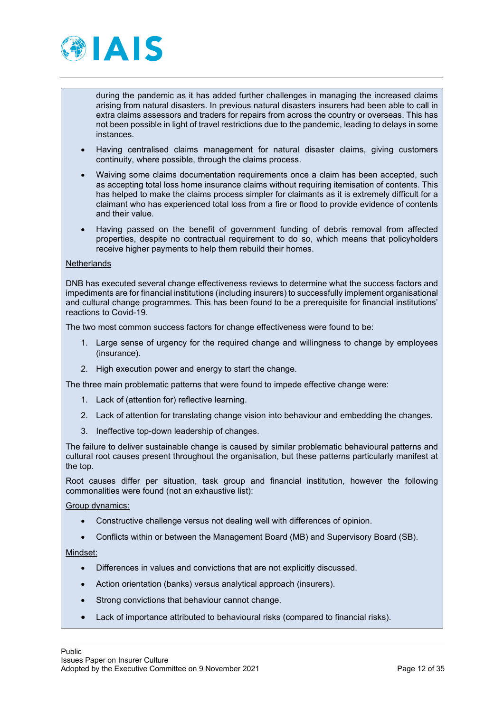

during the pandemic as it has added further challenges in managing the increased claims arising from natural disasters. In previous natural disasters insurers had been able to call in extra claims assessors and traders for repairs from across the country or overseas. This has not been possible in light of travel restrictions due to the pandemic, leading to delays in some instances.

- Having centralised claims management for natural disaster claims, giving customers continuity, where possible, through the claims process.
- Waiving some claims documentation requirements once a claim has been accepted, such as accepting total loss home insurance claims without requiring itemisation of contents. This has helped to make the claims process simpler for claimants as it is extremely difficult for a claimant who has experienced total loss from a fire or flood to provide evidence of contents and their value.
- Having passed on the benefit of government funding of debris removal from affected properties, despite no contractual requirement to do so, which means that policyholders receive higher payments to help them rebuild their homes.

#### **Netherlands**

DNB has executed several change effectiveness reviews to determine what the success factors and impediments are for financial institutions (including insurers) to successfully implement organisational and cultural change programmes. This has been found to be a prerequisite for financial institutions' reactions to Covid-19.

The two most common success factors for change effectiveness were found to be:

- 1. Large sense of urgency for the required change and willingness to change by employees (insurance).
- 2. High execution power and energy to start the change.

The three main problematic patterns that were found to impede effective change were:

- 1. Lack of (attention for) reflective learning.
- 2. Lack of attention for translating change vision into behaviour and embedding the changes.
- 3. Ineffective top-down leadership of changes.

The failure to deliver sustainable change is caused by similar problematic behavioural patterns and cultural root causes present throughout the organisation, but these patterns particularly manifest at the top.

Root causes differ per situation, task group and financial institution, however the following commonalities were found (not an exhaustive list):

Group dynamics:

- Constructive challenge versus not dealing well with differences of opinion.
- Conflicts within or between the Management Board (MB) and Supervisory Board (SB).

Mindset:

- Differences in values and convictions that are not explicitly discussed.
- Action orientation (banks) versus analytical approach (insurers).
- Strong convictions that behaviour cannot change.
- Lack of importance attributed to behavioural risks (compared to financial risks).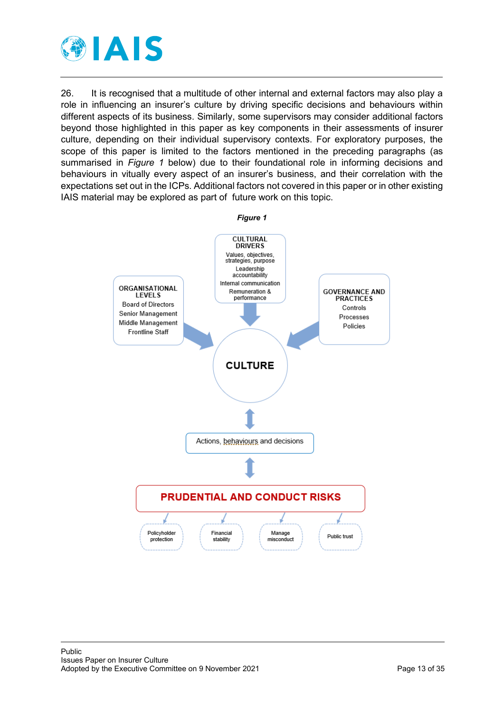

26. It is recognised that a multitude of other internal and external factors may also play a role in influencing an insurer's culture by driving specific decisions and behaviours within different aspects of its business. Similarly, some supervisors may consider additional factors beyond those highlighted in this paper as key components in their assessments of insurer culture, depending on their individual supervisory contexts. For exploratory purposes, the scope of this paper is limited to the factors mentioned in the preceding paragraphs (as summarised in *Figure 1* below) due to their foundational role in informing decisions and behaviours in vitually every aspect of an insurer's business, and their correlation with the expectations set out in the ICPs. Additional factors not covered in this paper or in other existing IAIS material may be explored as part of future work on this topic.

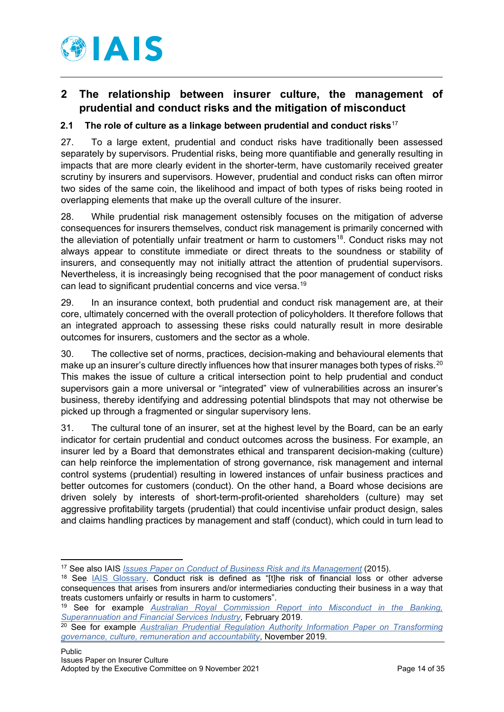

# <span id="page-13-0"></span>**2 The relationship between insurer culture, the management of prudential and conduct risks and the mitigation of misconduct**

# <span id="page-13-1"></span>**2.1 The role of culture as a linkage between prudential and conduct risks**[17](#page-13-2)

27. To a large extent, prudential and conduct risks have traditionally been assessed separately by supervisors. Prudential risks, being more quantifiable and generally resulting in impacts that are more clearly evident in the shorter-term, have customarily received greater scrutiny by insurers and supervisors. However, prudential and conduct risks can often mirror two sides of the same coin, the likelihood and impact of both types of risks being rooted in overlapping elements that make up the overall culture of the insurer.

28. While prudential risk management ostensibly focuses on the mitigation of adverse consequences for insurers themselves, conduct risk management is primarily concerned with the alleviation of potentially unfair treatment or harm to customers<sup>[18](#page-13-3)</sup>. Conduct risks may not always appear to constitute immediate or direct threats to the soundness or stability of insurers, and consequently may not initially attract the attention of prudential supervisors. Nevertheless, it is increasingly being recognised that the poor management of conduct risks can lead to significant prudential concerns and vice versa. [19](#page-13-4)

29. In an insurance context, both prudential and conduct risk management are, at their core, ultimately concerned with the overall protection of policyholders. It therefore follows that an integrated approach to assessing these risks could naturally result in more desirable outcomes for insurers, customers and the sector as a whole.

30. The collective set of norms, practices, decision-making and behavioural elements that make up an insurer's culture directly influences how that insurer manages both types of risks.<sup>[20](#page-13-5)</sup> This makes the issue of culture a critical intersection point to help prudential and conduct supervisors gain a more universal or "integrated" view of vulnerabilities across an insurer's business, thereby identifying and addressing potential blindspots that may not otherwise be picked up through a fragmented or singular supervisory lens.

31. The cultural tone of an insurer, set at the highest level by the Board, can be an early indicator for certain prudential and conduct outcomes across the business. For example, an insurer led by a Board that demonstrates ethical and transparent decision-making (culture) can help reinforce the implementation of strong governance, risk management and internal control systems (prudential) resulting in lowered instances of unfair business practices and better outcomes for customers (conduct). On the other hand, a Board whose decisions are driven solely by interests of short-term-profit-oriented shareholders (culture) may set aggressive profitability targets (prudential) that could incentivise unfair product design, sales and claims handling practices by management and staff (conduct), which could in turn lead to

<span id="page-13-2"></span><sup>17</sup> See also IAIS *[Issues Paper on Conduct of Business Risk and its Management](https://www.iaisweb.org/page/supervisory-material/issues-papers/file/57927/issues-paper-on-conduct-of-business-risk-and-its-management)* (2015).

<span id="page-13-3"></span><sup>&</sup>lt;sup>18</sup> See [IAIS Glossary.](https://www.iaisweb.org/page/supervisory-material/glossary) Conduct risk is defined as "[t]he risk of financial loss or other adverse consequences that arises from insurers and/or intermediaries conducting their business in a way that treats customers unfairly or results in harm to customers".

<span id="page-13-4"></span><sup>19</sup> See for example *[Australian Royal Commission Report into Misconduct in the Banking,](https://www.royalcommission.gov.au/system/files/2020-09/fsrc-volume-1-final-report.pdf)  [Superannuation and Financial Services Industry,](https://www.royalcommission.gov.au/system/files/2020-09/fsrc-volume-1-final-report.pdf)* February 2019.

<span id="page-13-5"></span><sup>20</sup> See for example *[Australian Prudential Regulation Authority Information Paper on Transforming](https://www.apra.gov.au/sites/default/files/Transforming%20governance%2C%20culture%2C%20remuneration%20and%20accountability%20-%20APRA%E2%80%99s%20approach.pdf)  [governance, culture, remuneration and accountability](https://www.apra.gov.au/sites/default/files/Transforming%20governance%2C%20culture%2C%20remuneration%20and%20accountability%20-%20APRA%E2%80%99s%20approach.pdf)*, November 2019.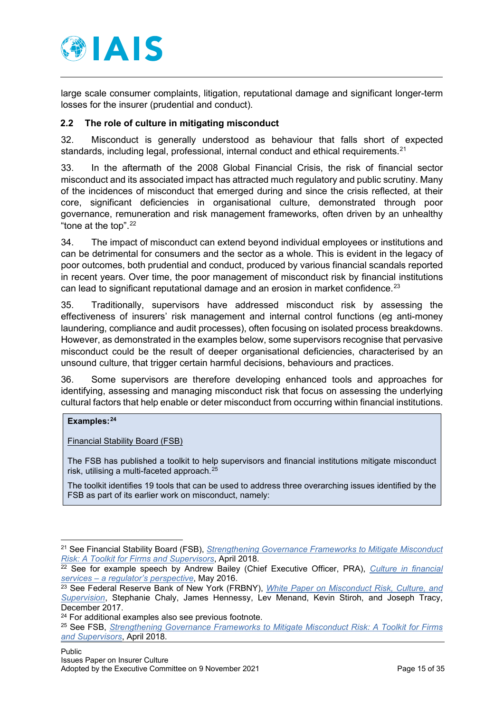

large scale consumer complaints, litigation, reputational damage and significant longer-term losses for the insurer (prudential and conduct).

# <span id="page-14-0"></span>**2.2 The role of culture in mitigating misconduct**

32. Misconduct is generally understood as behaviour that falls short of expected standards, including legal, professional, internal conduct and ethical requirements. $21$ 

33. In the aftermath of the 2008 Global Financial Crisis, the risk of financial sector misconduct and its associated impact has attracted much regulatory and public scrutiny. Many of the incidences of misconduct that emerged during and since the crisis reflected, at their core, significant deficiencies in organisational culture, demonstrated through poor governance, remuneration and risk management frameworks, often driven by an unhealthy "tone at the top".[22](#page-14-2)

34. The impact of misconduct can extend beyond individual employees or institutions and can be detrimental for consumers and the sector as a whole. This is evident in the legacy of poor outcomes, both prudential and conduct, produced by various financial scandals reported in recent years. Over time, the poor management of misconduct risk by financial institutions can lead to significant reputational damage and an erosion in market confidence.<sup>[23](#page-14-3)</sup>

35. Traditionally, supervisors have addressed misconduct risk by assessing the effectiveness of insurers' risk management and internal control functions (eg anti-money laundering, compliance and audit processes), often focusing on isolated process breakdowns. However, as demonstrated in the examples below, some supervisors recognise that pervasive misconduct could be the result of deeper organisational deficiencies, characterised by an unsound culture, that trigger certain harmful decisions, behaviours and practices.

36. Some supervisors are therefore developing enhanced tools and approaches for identifying, assessing and managing misconduct risk that focus on assessing the underlying cultural factors that help enable or deter misconduct from occurring within financial institutions.

#### **Examples:[24](#page-14-4)**

Financial Stability Board (FSB)

The FSB has published a toolkit to help supervisors and financial institutions mitigate misconduct risk, utilising a multi-faceted approach.<sup>[25](#page-14-5)</sup>

The toolkit identifies 19 tools that can be used to address three overarching issues identified by the FSB as part of its earlier work on misconduct, namely:

<span id="page-14-1"></span><sup>21</sup> See Financial Stability Board (FSB), *[Strengthening Governance Frameworks to Mitigate Misconduct](https://www.fsb.org/wp-content/uploads/P200418.pdf)  [Risk: A Toolkit for Firms and Supervisors](https://www.fsb.org/wp-content/uploads/P200418.pdf)*, April 2018.

<span id="page-14-2"></span><sup>22</sup> See for example speech by Andrew Bailey (Chief Executive Officer, PRA), *[Culture in financial](https://www.bankofengland.co.uk/-/media/boe/files/speech/2016/culture-in-financial-services-a-regulators-perspective.pdf?la=en&hash=088A4BBDA75375CCD822EE715A35BC662FCD8A6D)  services – [a regulator's perspective](https://www.bankofengland.co.uk/-/media/boe/files/speech/2016/culture-in-financial-services-a-regulators-perspective.pdf?la=en&hash=088A4BBDA75375CCD822EE715A35BC662FCD8A6D)*, May 2016.

<span id="page-14-3"></span><sup>23</sup> See Federal Reserve Bank of New York (FRBNY), *[White Paper on Misconduct Risk, Culture, and](https://www.newyorkfed.org/medialibrary/media/governance-and-culture-reform/2017-whitepaper.pdf)  [Supervision](https://www.newyorkfed.org/medialibrary/media/governance-and-culture-reform/2017-whitepaper.pdf)*, Stephanie Chaly, James Hennessy, Lev Menand, Kevin Stiroh, and Joseph Tracy, December 2017.

<span id="page-14-4"></span><sup>24</sup> For additional examples also see previous footnote.

<span id="page-14-5"></span><sup>25</sup> See FSB, *[Strengthening Governance Frameworks to Mitigate Misconduct Risk: A Toolkit for Firms](https://www.fsb.org/wp-content/uploads/P200418.pdf)  [and Supervisors](https://www.fsb.org/wp-content/uploads/P200418.pdf)*, April 2018.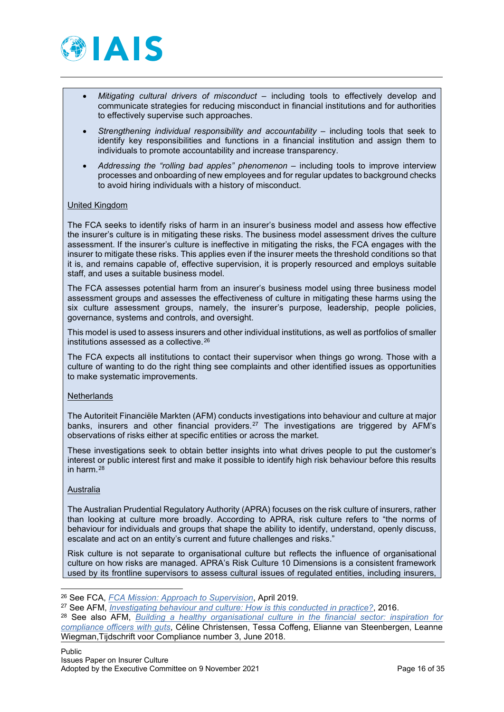

- *Mitigating cultural drivers of misconduct* including tools to effectively develop and communicate strategies for reducing misconduct in financial institutions and for authorities to effectively supervise such approaches.
- *Strengthening individual responsibility and accountability* including tools that seek to identify key responsibilities and functions in a financial institution and assign them to individuals to promote accountability and increase transparency.
- *Addressing the "rolling bad apples" phenomenon* including tools to improve interview processes and onboarding of new employees and for regular updates to background checks to avoid hiring individuals with a history of misconduct.

#### United Kingdom

The FCA seeks to identify risks of harm in an insurer's business model and assess how effective the insurer's culture is in mitigating these risks. The business model assessment drives the culture assessment. If the insurer's culture is ineffective in mitigating the risks, the FCA engages with the insurer to mitigate these risks. This applies even if the insurer meets the threshold conditions so that it is, and remains capable of, effective supervision, it is properly resourced and employs suitable staff, and uses a suitable business model.

The FCA assesses potential harm from an insurer's business model using three business model assessment groups and assesses the effectiveness of culture in mitigating these harms using the six culture assessment groups, namely, the insurer's purpose, leadership, people policies, governance, systems and controls, and oversight.

This model is used to assess insurers and other individual institutions, as well as portfolios of smaller institutions assessed as a collective.[26](#page-15-0)

The FCA expects all institutions to contact their supervisor when things go wrong. Those with a culture of wanting to do the right thing see complaints and other identified issues as opportunities to make systematic improvements.

#### **Netherlands**

The Autoriteit Financiële Markten (AFM) conducts investigations into behaviour and culture at major banks, insurers and other financial providers.<sup>[27](#page-15-1)</sup> The investigations are triggered by AFM's observations of risks either at specific entities or across the market.

These investigations seek to obtain better insights into what drives people to put the customer's interest or public interest first and make it possible to identify high risk behaviour before this results in harm.[28](#page-15-2)

#### Australia

The Australian Prudential Regulatory Authority (APRA) focuses on the risk culture of insurers, rather than looking at culture more broadly. According to APRA, risk culture refers to "the norms of behaviour for individuals and groups that shape the ability to identify, understand, openly discuss, escalate and act on an entity's current and future challenges and risks."

Risk culture is not separate to organisational culture but reflects the influence of organisational culture on how risks are managed. APRA's Risk Culture 10 Dimensions is a consistent framework used by its frontline supervisors to assess cultural issues of regulated entities, including insurers,

<span id="page-15-0"></span><sup>26</sup> See FCA, *[FCA Mission: Approach to Supervision](https://www.fca.org.uk/publication/corporate/our-approach-supervision-final-report-feedback-statement.pdf)*, April 2019.

<span id="page-15-1"></span><sup>27</sup> See AFM, *[Investigating behaviour and culture: How is this conducted in](https://www.afm.nl/%7E/profmedia/files/brochures/2016/investigation-behaviour-culture.pdf?la=en) practice?*, 2016.

<span id="page-15-2"></span><sup>28</sup> See also AFM, *[Building a healthy organisational culture in the financial sector: inspiration for](https://www.afm.nl/%7E/profmedia/files/onderwerpen/consument-gedrag-cultuur/building-healthy-organisational-culture.pdf?la=en) [compliance officers with guts](https://www.afm.nl/%7E/profmedia/files/onderwerpen/consument-gedrag-cultuur/building-healthy-organisational-culture.pdf?la=en)*, Céline Christensen, Tessa Coffeng, Elianne van Steenbergen, Leanne Wiegman,Tijdschrift voor Compliance number 3, June 2018.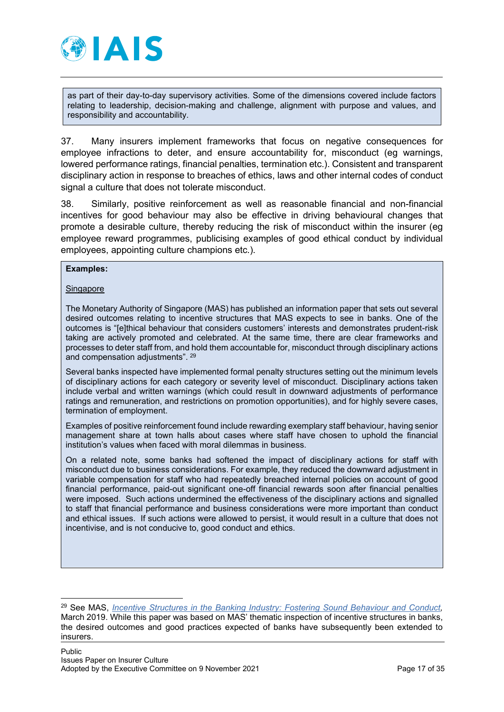

as part of their day-to-day supervisory activities. Some of the dimensions covered include factors relating to leadership, decision-making and challenge, alignment with purpose and values, and responsibility and accountability.

37. Many insurers implement frameworks that focus on negative consequences for employee infractions to deter, and ensure accountability for, misconduct (eg warnings, lowered performance ratings, financial penalties, termination etc.). Consistent and transparent disciplinary action in response to breaches of ethics, laws and other internal codes of conduct signal a culture that does not tolerate misconduct.

38. Similarly, positive reinforcement as well as reasonable financial and non-financial incentives for good behaviour may also be effective in driving behavioural changes that promote a desirable culture, thereby reducing the risk of misconduct within the insurer (eg employee reward programmes, publicising examples of good ethical conduct by individual employees, appointing culture champions etc.).

#### **Examples:**

#### Singapore

The Monetary Authority of Singapore (MAS) has published an information paper that sets out several desired outcomes relating to incentive structures that MAS expects to see in banks. One of the outcomes is "[e]thical behaviour that considers customers' interests and demonstrates prudent-risk taking are actively promoted and celebrated. At the same time, there are clear frameworks and processes to deter staff from, and hold them accountable for, misconduct through disciplinary actions and compensation adjustments". [29](#page-16-0)

Several banks inspected have implemented formal penalty structures setting out the minimum levels of disciplinary actions for each category or severity level of misconduct. Disciplinary actions taken include verbal and written warnings (which could result in downward adjustments of performance ratings and remuneration, and restrictions on promotion opportunities), and for highly severe cases, termination of employment.

Examples of positive reinforcement found include rewarding exemplary staff behaviour, having senior management share at town halls about cases where staff have chosen to uphold the financial institution's values when faced with moral dilemmas in business.

On a related note, some banks had softened the impact of disciplinary actions for staff with misconduct due to business considerations. For example, they reduced the downward adjustment in variable compensation for staff who had repeatedly breached internal policies on account of good financial performance, paid-out significant one-off financial rewards soon after financial penalties were imposed. Such actions undermined the effectiveness of the disciplinary actions and signalled to staff that financial performance and business considerations were more important than conduct and ethical issues. If such actions were allowed to persist, it would result in a culture that does not incentivise, and is not conducive to, good conduct and ethics.

<span id="page-16-0"></span><sup>29</sup> See MAS, *[Incentive Structures in the Banking Industry: Fostering Sound Behaviour and Conduct,](https://www.mas.gov.sg/-/media/MAS/Publications/Monograph-or-Information-Paper/2019/Information-paper--Incentive-Structures-in-the-Banking-Industry.pdf)* March 2019. While this paper was based on MAS' thematic inspection of incentive structures in banks, the desired outcomes and good practices expected of banks have subsequently been extended to insurers.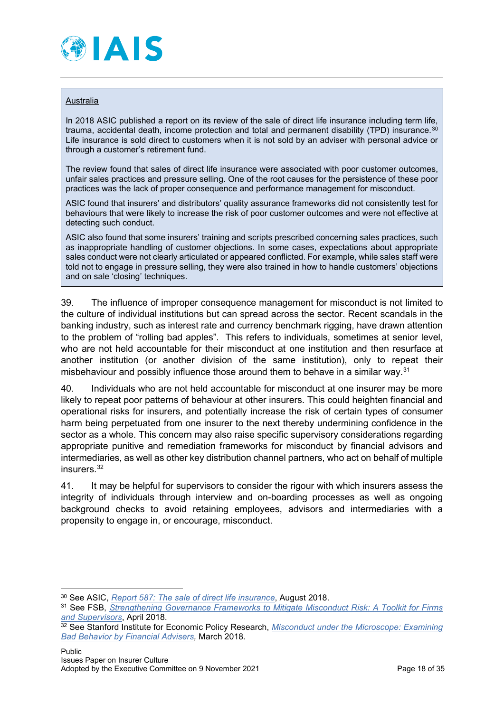

#### Australia

In 2018 ASIC published a report on its review of the sale of direct life insurance including term life, trauma, accidental death, income protection and total and permanent disability (TPD) insurance.  $30$ Life insurance is sold direct to customers when it is not sold by an adviser with personal advice or through a customer's retirement fund.

The review found that sales of direct life insurance were associated with poor customer outcomes, unfair sales practices and pressure selling. One of the root causes for the persistence of these poor practices was the lack of proper consequence and performance management for misconduct.

ASIC found that insurers' and distributors' quality assurance frameworks did not consistently test for behaviours that were likely to increase the risk of poor customer outcomes and were not effective at detecting such conduct.

ASIC also found that some insurers' training and scripts prescribed concerning sales practices, such as inappropriate handling of customer objections. In some cases, expectations about appropriate sales conduct were not clearly articulated or appeared conflicted. For example, while sales staff were told not to engage in pressure selling, they were also trained in how to handle customers' objections and on sale 'closing' techniques.

39. The influence of improper consequence management for misconduct is not limited to the culture of individual institutions but can spread across the sector. Recent scandals in the banking industry, such as interest rate and currency benchmark rigging, have drawn attention to the problem of "rolling bad apples". This refers to individuals, sometimes at senior level, who are not held accountable for their misconduct at one institution and then resurface at another institution (or another division of the same institution), only to repeat their misbehaviour and possibly influence those around them to behave in a similar way.<sup>[31](#page-17-1)</sup>

40. Individuals who are not held accountable for misconduct at one insurer may be more likely to repeat poor patterns of behaviour at other insurers. This could heighten financial and operational risks for insurers, and potentially increase the risk of certain types of consumer harm being perpetuated from one insurer to the next thereby undermining confidence in the sector as a whole. This concern may also raise specific supervisory considerations regarding appropriate punitive and remediation frameworks for misconduct by financial advisors and intermediaries, as well as other key distribution channel partners, who act on behalf of multiple insurers.<sup>[32](#page-17-2)</sup>

41. It may be helpful for supervisors to consider the rigour with which insurers assess the integrity of individuals through interview and on-boarding processes as well as ongoing background checks to avoid retaining employees, advisors and intermediaries with a propensity to engage in, or encourage, misconduct.

<span id="page-17-0"></span><sup>30</sup> See ASIC, *[Report 587: The sale of direct life insurance](https://download.asic.gov.au/media/4853336/rep587-published-30-august-2018-1.pdf)*, August 2018.

<span id="page-17-1"></span><sup>31</sup> See FSB, *[Strengthening Governance Frameworks to Mitigate Misconduct Risk: A](https://www.fsb.org/wp-content/uploads/P200418.pdf) Toolkit for Firms [and Supervisors](https://www.fsb.org/wp-content/uploads/P200418.pdf)*, April 2018.

<span id="page-17-2"></span><sup>32</sup> See Stanford Institute for Economic Policy Research, *[Misconduct under the Microscope: Examining](https://siepr.stanford.edu/research/publications/misconduct-financial-advisers)  Bad Behavior by [Financial Advisers,](https://siepr.stanford.edu/research/publications/misconduct-financial-advisers)* March 2018.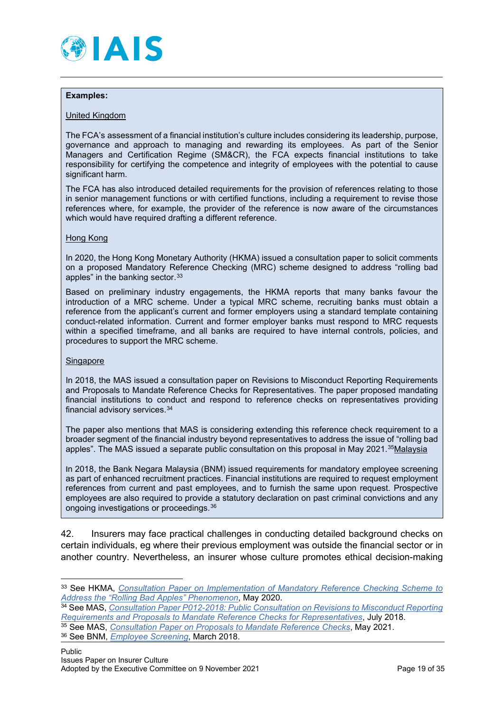

#### **Examples:**

#### United Kingdom

The FCA's assessment of a financial institution's culture includes considering its leadership, purpose, governance and approach to managing and rewarding its employees. As part of the Senior Managers and Certification Regime (SM&CR), the FCA expects financial institutions to take responsibility for certifying the competence and integrity of employees with the potential to cause significant harm.

The FCA has also introduced detailed requirements for the provision of references relating to those in senior management functions or with certified functions, including a requirement to revise those references where, for example, the provider of the reference is now aware of the circumstances which would have required drafting a different reference.

#### Hong Kong

In 2020, the Hong Kong Monetary Authority (HKMA) issued a [consultation paper](https://www.hkma.gov.hk/media/eng/regulatory-resources/consultations/Enclosure_20200508.pdf) to solicit comments on a proposed Mandatory Reference Checking (MRC) scheme designed to address "rolling bad apples" in the banking sector.<sup>[33](#page-18-0)</sup>

Based on preliminary industry engagements, the HKMA reports that many banks favour the introduction of a MRC scheme. Under a typical MRC scheme, recruiting banks must obtain a reference from the applicant's current and former employers using a standard template containing conduct-related information. Current and former employer banks must respond to MRC requests within a specified timeframe, and all banks are required to have internal controls, policies, and procedures to support the MRC scheme.

#### Singapore

In 2018, the MAS issued a consultation paper on Revisions to Misconduct Reporting Requirements and Proposals to Mandate Reference Checks for Representatives. The paper proposed mandating financial institutions to conduct and respond to reference checks on representatives providing financial advisory services.[34](#page-18-1)

The paper also mentions that MAS is considering extending this reference check requirement to a broader segment of the financial industry beyond representatives to address the issue of "rolling bad apples". The MAS issued a separate public consultation on this proposal in May 2021.<sup>35</sup>Malaysia

**I**n 2018, the Bank Negara Malaysia (BNM) issued requirements for mandatory employee screening as part of enhanced recruitment practices. Financial institutions are required to request employment references from current and past employees, and to furnish the same upon request. Prospective employees are also required to provide a statutory declaration on past criminal convictions and any ongoing investigations or proceedings.[36](#page-18-3)

42. Insurers may face practical challenges in conducting detailed background checks on certain individuals, eg where their previous employment was outside the financial sector or in another country. Nevertheless, an insurer whose culture promotes ethical decision-making

- <span id="page-18-2"></span><sup>35</sup> See MAS, *[Consultation Paper on Proposals to Mandate Reference Checks](https://www.mas.gov.sg/publications/consultations/2021/consultation-paper-on-proposals-to-mandate-reference-checks)*, May 2021.
- <span id="page-18-3"></span><sup>36</sup> See BNM, *[Employee Screening](https://www.bnm.gov.my/documents/20124/761682/Employee+Screening+PD.pdf)*, March 2018.

<span id="page-18-0"></span><sup>33</sup> See HKMA, *[Consultation Paper on Implementation of Mandatory Reference Checking Scheme to](https://www.hkma.gov.hk/media/eng/regulatory-resources/consultations/Enclosure_20200508.pdf)  [Address the "Rolling Bad](https://www.hkma.gov.hk/media/eng/regulatory-resources/consultations/Enclosure_20200508.pdf) Apples" Phenomenon*, May 2020.

<span id="page-18-1"></span><sup>34</sup> See MAS, *[Consultation Paper P012-2018: Public Consultation on Revisions to Misconduct Reporting](https://www.mas.gov.sg/-/media/MAS/News-and-Publications/Consultation-Papers/Consultation-Paper-on-Revisions-to-Misconduct-Reporting-Requirements-and-Proposals-to-Mandate-Reference-Checks-for-Representatives.pdf)  [Requirements and Proposals to Mandate Reference Checks for Representatives](https://www.mas.gov.sg/-/media/MAS/News-and-Publications/Consultation-Papers/Consultation-Paper-on-Revisions-to-Misconduct-Reporting-Requirements-and-Proposals-to-Mandate-Reference-Checks-for-Representatives.pdf)*, July 2018.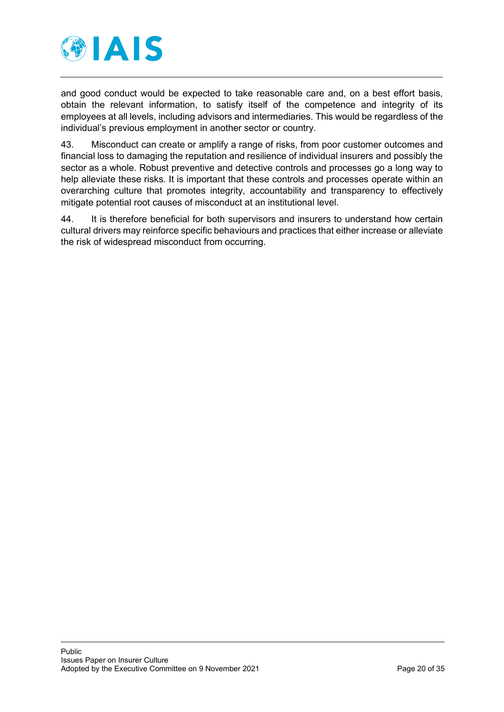

and good conduct would be expected to take reasonable care and, on a best effort basis, obtain the relevant information, to satisfy itself of the competence and integrity of its employees at all levels, including advisors and intermediaries. This would be regardless of the individual's previous employment in another sector or country.

43. Misconduct can create or amplify a range of risks, from poor customer outcomes and financial loss to damaging the reputation and resilience of individual insurers and possibly the sector as a whole. Robust preventive and detective controls and processes go a long way to help alleviate these risks. It is important that these controls and processes operate within an overarching culture that promotes integrity, accountability and transparency to effectively mitigate potential root causes of misconduct at an institutional level.

44. It is therefore beneficial for both supervisors and insurers to understand how certain cultural drivers may reinforce specific behaviours and practices that either increase or alleviate the risk of widespread misconduct from occurring.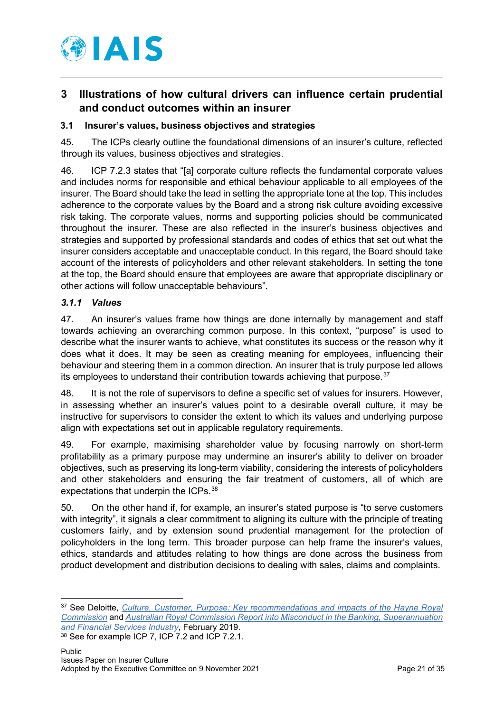

# <span id="page-20-0"></span>**3 Illustrations of how cultural drivers can influence certain prudential and conduct outcomes within an insurer**

# <span id="page-20-1"></span>**3.1 Insurer's values, business objectives and strategies**

45. The ICPs clearly outline the foundational dimensions of an insurer's culture, reflected through its values, business objectives and strategies.

46. ICP 7.2.3 states that "[a] corporate culture reflects the fundamental corporate values and includes norms for responsible and ethical behaviour applicable to all employees of the insurer. The Board should take the lead in setting the appropriate tone at the top. This includes adherence to the corporate values by the Board and a strong risk culture avoiding excessive risk taking. The corporate values, norms and supporting policies should be communicated throughout the insurer. These are also reflected in the insurer's business objectives and strategies and supported by professional standards and codes of ethics that set out what the insurer considers acceptable and unacceptable conduct. In this regard, the Board should take account of the interests of policyholders and other relevant stakeholders. In setting the tone at the top, the Board should ensure that employees are aware that appropriate disciplinary or other actions will follow unacceptable behaviours".

# <span id="page-20-2"></span>*3.1.1 Values*

47. An insurer's values frame how things are done internally by management and staff towards achieving an overarching common purpose. In this context, "purpose" is used to describe what the insurer wants to achieve, what constitutes its success or the reason why it does what it does. It may be seen as creating meaning for employees, influencing their behaviour and steering them in a common direction. An insurer that is truly purpose led allows its employees to understand their contribution towards achieving that purpose.<sup>37</sup>

48. It is not the role of supervisors to define a specific set of values for insurers. However, in assessing whether an insurer's values point to a desirable overall culture, it may be instructive for supervisors to consider the extent to which its values and underlying purpose align with expectations set out in applicable regulatory requirements.

49. For example, maximising shareholder value by focusing narrowly on short-term profitability as a primary purpose may undermine an insurer's ability to deliver on broader objectives, such as preserving its long-term viability, considering the interests of policyholders and other stakeholders and ensuring the fair treatment of customers, all of which are expectations that underpin the ICPs. [38](#page-20-4)

50. On the other hand if, for example, an insurer's stated purpose is "to serve customers with integrity", it signals a clear commitment to aligning its culture with the principle of treating customers fairly, and by extension sound prudential management for the protection of policyholders in the long term. This broader purpose can help frame the insurer's values, ethics, standards and attitudes relating to how things are done across the business from product development and distribution decisions to dealing with sales, claims and complaints.

<span id="page-20-4"></span><span id="page-20-3"></span><sup>37</sup> See Deloitte, *[Culture, Customer, Purpose: Key recommendations and impacts of the Hayne Royal](https://www2.deloitte.com/content/dam/Deloitte/au/Documents/financial-services/deloitte-au-fs-culture-customer-purpose-hayne-royal-commission-120219.pdf)  [Commission](https://www2.deloitte.com/content/dam/Deloitte/au/Documents/financial-services/deloitte-au-fs-culture-customer-purpose-hayne-royal-commission-120219.pdf)* and *[Australian Royal Commission Report into Misconduct in the Banking, Superannuation](https://www.royalcommission.gov.au/system/files/2020-09/fsrc-volume-1-final-report.pdf)  [and Financial Services Industry,](https://www.royalcommission.gov.au/system/files/2020-09/fsrc-volume-1-final-report.pdf)* February 2019. 38 See for example ICP 7, ICP 7.2 and ICP 7.2.1.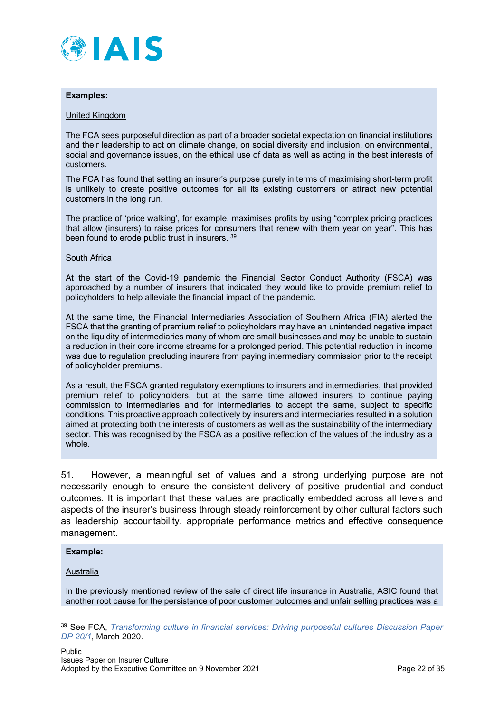

#### **Examples:**

#### United Kingdom

The FCA sees purposeful direction as part of a broader societal expectation on financial institutions and their leadership to act on climate change, on social diversity and inclusion, on environmental, social and governance issues, on the ethical use of data as well as acting in the best interests of customers.

The FCA has found that setting an insurer's purpose purely in terms of maximising short-term profit is unlikely to create positive outcomes for all its existing customers or attract new potential customers in the long run.

The practice of 'price walking', for example, maximises profits by using "complex pricing practices that allow (insurers) to raise prices for consumers that renew with them year on year". This has been found to erode public trust in insurers. [39](#page-21-0)

#### South Africa

At the start of the Covid-19 pandemic the Financial Sector Conduct Authority (FSCA) was approached by a number of insurers that indicated they would like to provide premium relief to policyholders to help alleviate the financial impact of the pandemic.

At the same time, the Financial Intermediaries Association of Southern Africa (FIA) alerted the FSCA that the granting of premium relief to policyholders may have an unintended negative impact on the liquidity of intermediaries many of whom are small businesses and may be unable to sustain a reduction in their core income streams for a prolonged period. This potential reduction in income was due to regulation precluding insurers from paying intermediary commission prior to the receipt of policyholder premiums.

As a result, the FSCA granted regulatory exemptions to insurers and intermediaries, that provided premium relief to policyholders, but at the same time allowed insurers to continue paying commission to intermediaries and for intermediaries to accept the same, subject to specific conditions. This proactive approach collectively by insurers and intermediaries resulted in a solution aimed at protecting both the interests of customers as well as the sustainability of the intermediary sector. This was recognised by the FSCA as a positive reflection of the values of the industry as a whole.

51. However, a meaningful set of values and a strong underlying purpose are not necessarily enough to ensure the consistent delivery of positive prudential and conduct outcomes. It is important that these values are practically embedded across all levels and aspects of the insurer's business through steady reinforcement by other cultural factors such as leadership accountability, appropriate performance metrics and effective consequence management.

#### **Example:**

Australia

In the previously mentioned review of the sale of direct life insurance in Australia, ASIC found that another root cause for the persistence of poor customer outcomes and unfair selling practices was a

<span id="page-21-0"></span><sup>39</sup> See FCA, *[Transforming culture in financial services: Driving purposeful cultures](https://www.fca.org.uk/publication/discussion/dp20-1.pdf) Discussion Paper [DP 20/1](https://www.fca.org.uk/publication/discussion/dp20-1.pdf)*, March 2020.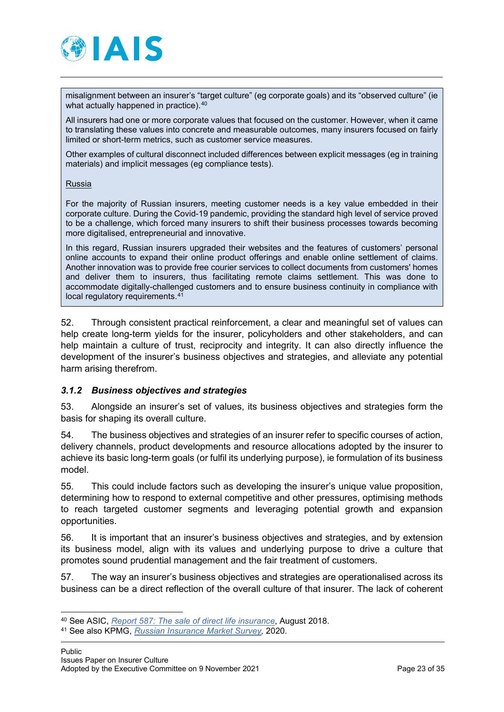

misalignment between an insurer's "target culture" (eg corporate goals) and its "observed culture" (ie what actually happened in practice).<sup>[40](#page-22-1)</sup>

All insurers had one or more corporate values that focused on the customer. However, when it came to translating these values into concrete and measurable outcomes, many insurers focused on fairly limited or short-term metrics, such as customer service measures.

Other examples of cultural disconnect included differences between explicit messages (eg in training materials) and implicit messages (eg compliance tests).

#### Russia

For the majority of Russian insurers, meeting customer needs is a key value embedded in their corporate culture. During the Covid-19 pandemic, providing the standard high level of service proved to be a challenge, which forced many insurers to shift their business processes towards becoming more digitalised, entrepreneurial and innovative.

In this regard, Russian insurers upgraded their websites and the features of customers' personal online accounts to expand their online product offerings and enable online settlement of claims. Another innovation was to provide free courier services to collect documents from customers' homes and deliver them to insurers, thus facilitating remote claims settlement. This was done to accommodate digitally-challenged customers and to ensure business continuity in compliance with local regulatory requirements.[41](#page-22-2)

52. Through consistent practical reinforcement, a clear and meaningful set of values can help create long-term yields for the insurer, policyholders and other stakeholders, and can help maintain a culture of trust, reciprocity and integrity. It can also directly influence the development of the insurer's business objectives and strategies, and alleviate any potential harm arising therefrom.

#### <span id="page-22-0"></span>*3.1.2 Business objectives and strategies*

53. Alongside an insurer's set of values, its business objectives and strategies form the basis for shaping its overall culture.

54. The business objectives and strategies of an insurer refer to specific courses of action, delivery channels, product developments and resource allocations adopted by the insurer to achieve its basic long-term goals (or fulfil its underlying purpose), ie formulation of its business model.

55. This could include factors such as developing the insurer's unique value proposition, determining how to respond to external competitive and other pressures, optimising methods to reach targeted customer segments and leveraging potential growth and expansion opportunities.

56. It is important that an insurer's business objectives and strategies, and by extension its business model, align with its values and underlying purpose to drive a culture that promotes sound prudential management and the fair treatment of customers.

57. The way an insurer's business objectives and strategies are operationalised across its business can be a direct reflection of the overall culture of that insurer. The lack of coherent

<span id="page-22-1"></span><sup>40</sup> See ASIC, *[Report 587: The sale of direct life insurance](https://download.asic.gov.au/media/4853336/rep587-published-30-august-2018-1.pdf)*, August 2018.

<span id="page-22-2"></span><sup>41</sup> See also KPMG, *[Russian Insurance Market Survey,](https://assets.kpmg/content/dam/kpmg/ru/pdf/2020/08/ru-en-insurance-survey-2020.pdf)* 2020.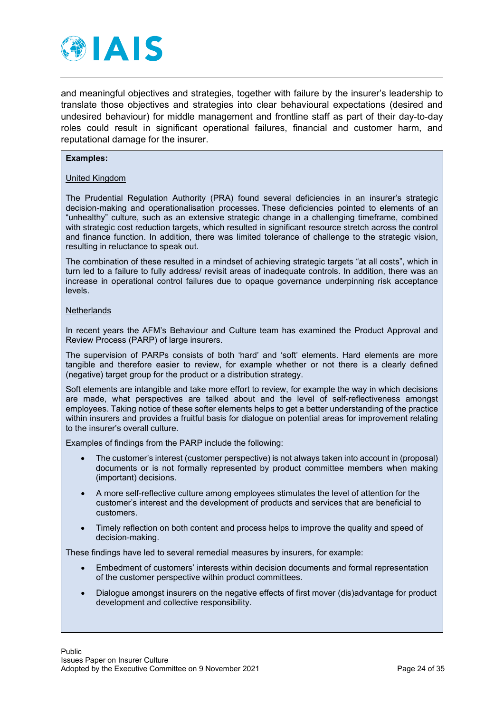

and meaningful objectives and strategies, together with failure by the insurer's leadership to translate those objectives and strategies into clear behavioural expectations (desired and undesired behaviour) for middle management and frontline staff as part of their day-to-day roles could result in significant operational failures, financial and customer harm, and reputational damage for the insurer.

#### **Examples:**

#### United Kingdom

The Prudential Regulation Authority (PRA) found several deficiencies in an insurer's strategic decision-making and operationalisation processes. These deficiencies pointed to elements of an "unhealthy" culture, such as an extensive strategic change in a challenging timeframe, combined with strategic cost reduction targets, which resulted in significant resource stretch across the control and finance function. In addition, there was limited tolerance of challenge to the strategic vision, resulting in reluctance to speak out.

The combination of these resulted in a mindset of achieving strategic targets "at all costs", which in turn led to a failure to fully address/ revisit areas of inadequate controls. In addition, there was an increase in operational control failures due to opaque governance underpinning risk acceptance levels.

#### **Netherlands**

In recent years the AFM's Behaviour and Culture team has examined the Product Approval and Review Process (PARP) of large insurers.

The supervision of PARPs consists of both 'hard' and 'soft' elements. Hard elements are more tangible and therefore easier to review, for example whether or not there is a clearly defined (negative) target group for the product or a distribution strategy.

Soft elements are intangible and take more effort to review, for example the way in which decisions are made, what perspectives are talked about and the level of self-reflectiveness amongst employees. Taking notice of these softer elements helps to get a better understanding of the practice within insurers and provides a fruitful basis for dialogue on potential areas for improvement relating to the insurer's overall culture.

Examples of findings from the PARP include the following:

- The customer's interest (customer perspective) is not always taken into account in (proposal) documents or is not formally represented by product committee members when making (important) decisions.
- A more self-reflective culture among employees stimulates the level of attention for the customer's interest and the development of products and services that are beneficial to customers.
- Timely reflection on both content and process helps to improve the quality and speed of decision-making.

These findings have led to several remedial measures by insurers, for example:

- Embedment of customers' interests within decision documents and formal representation of the customer perspective within product committees.
- Dialogue amongst insurers on the negative effects of first mover (dis)advantage for product development and collective responsibility.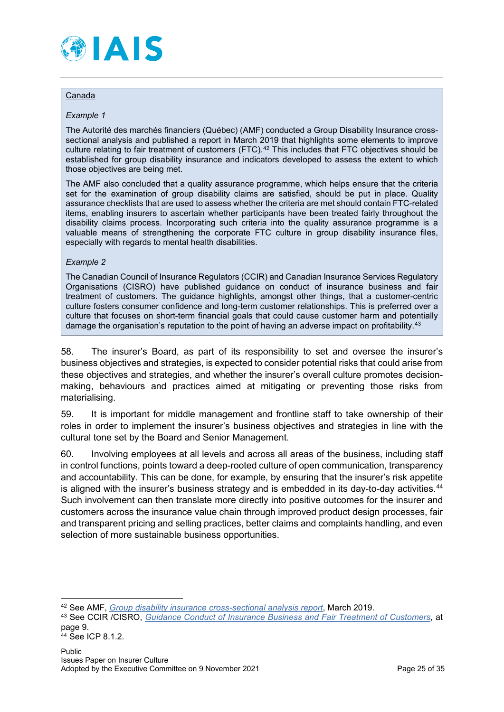

#### Canada

#### *Example 1*

The Autorité des marchés financiers (Québec) (AMF) conducted a Group Disability Insurance crosssectional analysis and published a report in March 2019 that highlights some elements to improve culture relating to fair treatment of customers (FTC).[42](#page-24-0) This includes that FTC objectives should be established for group disability insurance and indicators developed to assess the extent to which those objectives are being met.

The AMF also concluded that a quality assurance programme, which helps ensure that the criteria set for the examination of group disability claims are satisfied, should be put in place. Quality assurance checklists that are used to assess whether the criteria are met should contain FTC-related items, enabling insurers to ascertain whether participants have been treated fairly throughout the disability claims process. Incorporating such criteria into the quality assurance programme is a valuable means of strengthening the corporate FTC culture in group disability insurance files, especially with regards to mental health disabilities.

#### *Example 2*

The Canadian Council of Insurance Regulators (CCIR) and Canadian Insurance Services Regulatory Organisations (CISRO) have published guidance on conduct of insurance business and fair treatment of customers. The guidance highlights, amongst other things, that a customer-centric culture fosters consumer confidence and long-term customer relationships. This is preferred over a culture that focuses on short-term financial goals that could cause customer harm and potentially damage the organisation's reputation to the point of having an adverse impact on profitability.<sup>[43](#page-24-1)</sup>

58. The insurer's Board, as part of its responsibility to set and oversee the insurer's business objectives and strategies, is expected to consider potential risks that could arise from these objectives and strategies, and whether the insurer's overall culture promotes decisionmaking, behaviours and practices aimed at mitigating or preventing those risks from materialising.

59. It is important for middle management and frontline staff to take ownership of their roles in order to implement the insurer's business objectives and strategies in line with the cultural tone set by the Board and Senior Management.

60. Involving employees at all levels and across all areas of the business, including staff in control functions, points toward a deep-rooted culture of open communication, transparency and accountability. This can be done, for example, by ensuring that the insurer's risk appetite is aligned with the insurer's business strategy and is embedded in its day-to-day activities. $44$ Such involvement can then translate more directly into positive outcomes for the insurer and customers across the insurance value chain through improved product design processes, fair and transparent pricing and selling practices, better claims and complaints handling, and even selection of more sustainable business opportunities.

<span id="page-24-0"></span><sup>42</sup> See AMF, *[Group disability insurance cross-sectional analysis report](https://lautorite.qc.ca/fileadmin/lautorite/grand_public/publications/professionnels/assurance/Rapport-intervention-transversale-assurance-invalidite-collective_an.pdf)*, March 2019.

<span id="page-24-1"></span><sup>43</sup> See CCIR /CISRO, *[Guidance Conduct of Insurance Business and Fair Treatment of Customers](https://www.ccir-ccrra.org/Documents/View/3377)*, at page 9.

<span id="page-24-2"></span><sup>44</sup> See ICP 8.1.2.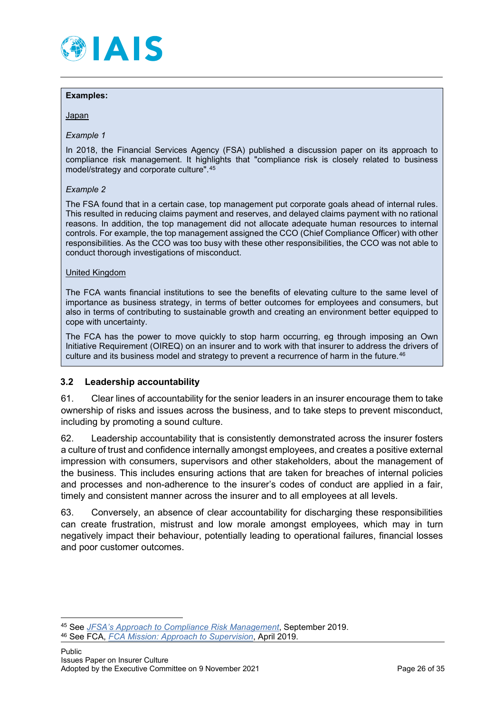

#### **Examples:**

**Japan** 

#### *Example 1*

In 2018, the Financial Services Agency (FSA) published a discussion paper on its approach to compliance risk management. It highlights that "compliance risk is closely related to business model/strategy and corporate culture".[45](#page-25-1)

#### *Example 2*

The FSA found that in a certain case, top management put corporate goals ahead of internal rules. This resulted in reducing claims payment and reserves, and delayed claims payment with no rational reasons. In addition, the top management did not allocate adequate human resources to internal controls. For example, the top management assigned the CCO (Chief Compliance Officer) with other responsibilities. As the CCO was too busy with these other responsibilities, the CCO was not able to conduct thorough investigations of misconduct.

#### United Kingdom

The FCA wants financial institutions to see the benefits of elevating culture to the same level of importance as business strategy, in terms of better outcomes for employees and consumers, but also in terms of contributing to sustainable growth and creating an environment better equipped to cope with uncertainty.

The FCA has the power to move quickly to stop harm occurring, eg through imposing an Own Initiative Requirement (OIREQ) on an insurer and to work with that insurer to address the drivers of culture and its business model and strategy to prevent a recurrence of harm in the future.<sup>[46](#page-25-2)</sup>

#### <span id="page-25-0"></span>**3.2 Leadership accountability**

61. Clear lines of accountability for the senior leaders in an insurer encourage them to take ownership of risks and issues across the business, and to take steps to prevent misconduct, including by promoting a sound culture.

62. Leadership accountability that is consistently demonstrated across the insurer fosters a culture of trust and confidence internally amongst employees, and creates a positive external impression with consumers, supervisors and other stakeholders, about the management of the business. This includes ensuring actions that are taken for breaches of internal policies and processes and non-adherence to the insurer's codes of conduct are applied in a fair, timely and consistent manner across the insurer and to all employees at all levels.

63. Conversely, an absence of clear accountability for discharging these responsibilities can create frustration, mistrust and low morale amongst employees, which may in turn negatively impact their behaviour, potentially leading to operational failures, financial losses and poor customer outcomes.

<span id="page-25-1"></span><sup>45</sup> See *[JFSA's Approach to Compliance Risk Management](https://www.fsa.go.jp/en/news/2019/20190930.html)*, September 2019.

<span id="page-25-2"></span><sup>46</sup> See FCA, *[FCA Mission: Approach to Supervision](https://www.fca.org.uk/publication/corporate/our-approach-supervision-final-report-feedback-statement.pdf)*, April 2019.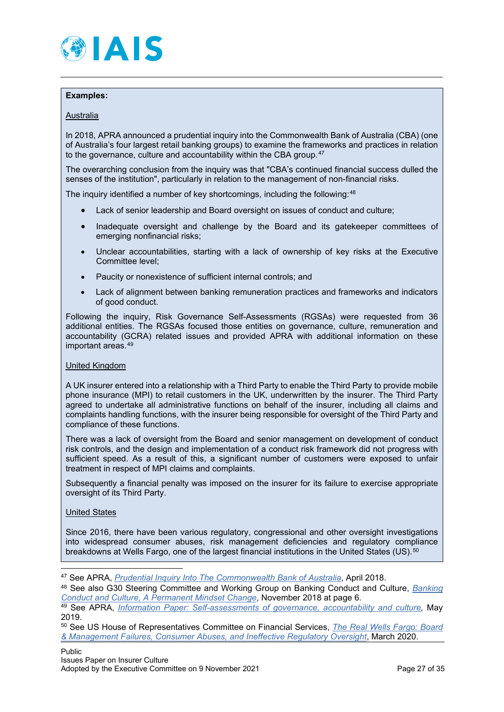

#### **Examples:**

#### **Australia**

In 2018, APRA announced a prudential inquiry into the Commonwealth Bank of Australia (CBA) (one of Australia's four largest retail banking groups) to examine the frameworks and practices in relation to the governance, culture and accountability within the CBA group.<sup>[47](#page-26-0)</sup>

The overarching conclusion from the inquiry was that "CBA's continued financial success dulled the senses of the institution", particularly in relation to the management of non-financial risks.

The inquiry identified a number of key shortcomings, including the following:[48](#page-26-1)

- Lack of senior leadership and Board oversight on issues of conduct and culture;
- Inadequate oversight and challenge by the Board and its gatekeeper committees of emerging nonfinancial risks;
- Unclear accountabilities, starting with a lack of ownership of key risks at the Executive Committee level;
- Paucity or nonexistence of sufficient internal controls; and
- Lack of alignment between banking remuneration practices and frameworks and indicators of good conduct.

Following the inquiry, Risk Governance Self-Assessments (RGSAs) were requested from 36 additional entities. The RGSAs focused those entities on governance, culture, remuneration and accountability (GCRA) related issues and provided APRA with additional information on these important areas.[49](#page-26-2)

#### United Kingdom

A UK insurer entered into a relationship with a Third Party to enable the Third Party to provide mobile phone insurance (MPI) to retail customers in the UK, underwritten by the insurer. The Third Party agreed to undertake all administrative functions on behalf of the insurer, including all claims and complaints handling functions, with the insurer being responsible for oversight of the Third Party and compliance of these functions.

There was a lack of oversight from the Board and senior management on development of conduct risk controls, and the design and implementation of a conduct risk framework did not progress with sufficient speed. As a result of this, a significant number of customers were exposed to unfair treatment in respect of MPI claims and complaints.

Subsequently a financial penalty was imposed on the insurer for its failure to exercise appropriate oversight of its Third Party.

#### United States

Since 2016, there have been various regulatory, congressional and other oversight investigations into widespread consumer abuses, risk management deficiencies and regulatory compliance breakdowns at Wells Fargo, one of the largest financial institutions in the United States (US).<sup>[50](#page-26-3)</sup>

<span id="page-26-0"></span><sup>47</sup> See APRA, *[Prudential Inquiry Into The Commonwealth Bank of Australia](https://www.apra.gov.au/sites/default/files/CBA-Prudential-Inquiry_Final-Report_30042018.pdf)*, April 2018.

<span id="page-26-1"></span><sup>48</sup> See also G30 Steering Committee and Working Group on Banking Conduct and Culture, *[Banking](https://group30.org/images/uploads/publications/aaG30_Culture2018.pdf)  [Conduct and Culture, A Permanent Mindset Change](https://group30.org/images/uploads/publications/aaG30_Culture2018.pdf)*, November 2018 at page 6.

<span id="page-26-2"></span><sup>49</sup> See APRA, *[Information Paper: Self-assessments of governance, accountability and culture,](https://www.apra.gov.au/sites/default/files/information_paper_self-assessment_of_governance_accountability_and_culture.pdf)* May 2019.

<span id="page-26-3"></span><sup>50</sup> See US House of Representatives Committee on Financial Services, *[The Real Wells Fargo: Board](https://financialservices.house.gov/uploadedfiles/wells_fargo_staff_report_final_mm.pdf)  [& Management Failures, Consumer Abuses, and Ineffective Regulatory Oversight](https://financialservices.house.gov/uploadedfiles/wells_fargo_staff_report_final_mm.pdf)*, March 2020.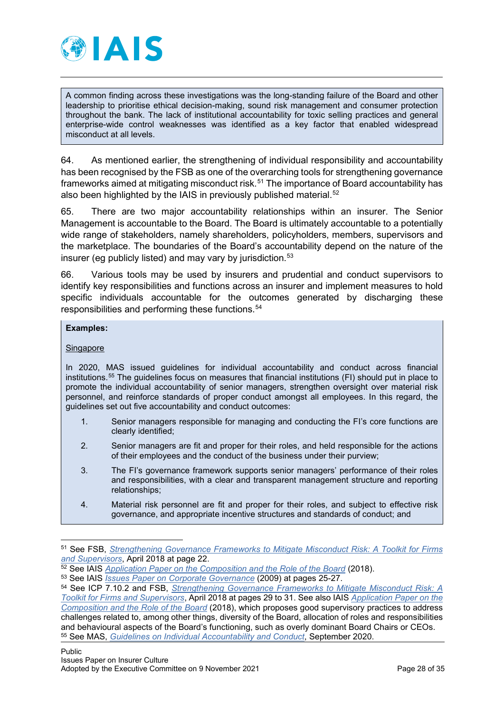

A common finding across these investigations was the long-standing failure of the Board and other leadership to prioritise ethical decision-making, sound risk management and consumer protection throughout the bank. The lack of institutional accountability for toxic selling practices and general enterprise-wide control weaknesses was identified as a key factor that enabled widespread misconduct at all levels.

64. As mentioned earlier, the strengthening of individual responsibility and accountability has been recognised by the FSB as one of the overarching tools for strengthening governance frameworks aimed at mitigating misconduct risk.<sup>[51](#page-27-0)</sup> The importance of Board accountability has also been highlighted by the IAIS in previously published material.<sup>[52](#page-27-1)</sup>

65. There are two major accountability relationships within an insurer. The Senior Management is accountable to the Board. The Board is ultimately accountable to a potentially wide range of stakeholders, namely shareholders, policyholders, members, supervisors and the marketplace. The boundaries of the Board's accountability depend on the nature of the insurer (eg publicly listed) and may vary by jurisdiction. $53$ 

66. Various tools may be used by insurers and prudential and conduct supervisors to identify key responsibilities and functions across an insurer and implement measures to hold specific individuals accountable for the outcomes generated by discharging these responsibilities and performing these functions.[54](#page-27-3)

#### **Examples:**

## **Singapore**

In 2020, MAS issued guidelines for individual accountability and conduct across financial institutions.[55](#page-27-4) The guidelines focus on measures that financial institutions (FI) should put in place to promote the individual accountability of senior managers, strengthen oversight over material risk personnel, and reinforce standards of proper conduct amongst all employees. In this regard, the guidelines set out five accountability and conduct outcomes:

- 1. Senior managers responsible for managing and conducting the FI's core functions are clearly identified;
- 2. Senior managers are fit and proper for their roles, and held responsible for the actions of their employees and the conduct of the business under their purview;
- 3. The FI's governance framework supports senior managers' performance of their roles and responsibilities, with a clear and transparent management structure and reporting relationships;
- 4. Material risk personnel are fit and proper for their roles, and subject to effective risk governance, and appropriate incentive structures and standards of conduct; and

<span id="page-27-0"></span><sup>51</sup> See FSB, *[Strengthening Governance Frameworks to Mitigate Misconduct Risk: A Toolkit for Firms](https://www.fsb.org/wp-content/uploads/P200418.pdf)  [and Supervisors](https://www.fsb.org/wp-content/uploads/P200418.pdf)*, April 2018 at page 22.

<span id="page-27-1"></span><sup>52</sup> See IAIS *[Application Paper on the Composition and the Role of the Board](https://www.iaisweb.org/page/supervisory-material/application-papers/file/77741/application-paper-on-the-composition-and-the-role-of-the-board)* (2018).

<span id="page-27-2"></span><sup>53</sup> See IAIS *[Issues Paper on Corporate Governance](https://www.iaisweb.org/page/supervisory-material/issues-papers/file/34277/issues-paper-on-corporate-governance-july-2009)* (2009) at pages 25-27.

<span id="page-27-4"></span><span id="page-27-3"></span><sup>54</sup> See ICP 7.10.2 and FSB, *[Strengthening Governance Frameworks to Mitigate Misconduct Risk: A](https://www.fsb.org/wp-content/uploads/P200418.pdf)  [Toolkit for Firms and Supervisors](https://www.fsb.org/wp-content/uploads/P200418.pdf)*, April 2018 at pages 29 to 31. See also IAIS *[Application Paper on the](https://www.iaisweb.org/page/supervisory-material/application-papers/file/77741/application-paper-on-the-composition-and-the-role-of-the-board)  [Composition and the Role of the Board](https://www.iaisweb.org/page/supervisory-material/application-papers/file/77741/application-paper-on-the-composition-and-the-role-of-the-board)* (2018), which proposes good supervisory practices to address challenges related to, among other things, diversity of the Board, allocation of roles and responsibilities and behavioural aspects of the Board's functioning, such as overly dominant Board Chairs or CEOs. <sup>55</sup> See MAS, *[Guidelines on Individual Accountability and Conduct](https://www.mas.gov.sg/-/media/MAS/MPI/Guidelines/Guidelines-on-Individual-Accountability-and-Conduct.pdf)*, September 2020.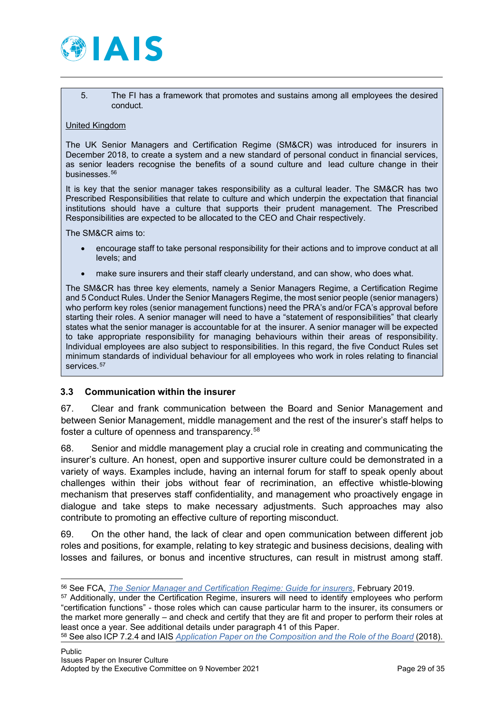

5. The FI has a framework that promotes and sustains among all employees the desired conduct.

#### United Kingdom

The UK Senior Managers and Certification Regime (SM&CR) was introduced for insurers in December 2018, to create a system and a new standard of personal conduct in financial services, as senior leaders recognise the benefits of a sound culture and lead culture change in their businesses.<sup>[56](#page-28-1)</sup>

It is key that the senior manager takes responsibility as a cultural leader. The SM&CR has two Prescribed Responsibilities that relate to culture and which underpin the expectation that financial institutions should have a culture that supports their prudent management. The Prescribed Responsibilities are expected to be allocated to the CEO and Chair respectively.

The SM&CR aims to:

- encourage staff to take personal responsibility for their actions and to improve conduct at all levels; and
- make sure insurers and their staff clearly understand, and can show, who does what.

The SM&CR has three key elements, namely a Senior Managers Regime, a Certification Regime and 5 Conduct Rules. Under the Senior Managers Regime, the most senior people (senior managers) who perform key roles (senior management functions) need the PRA's and/or FCA's approval before starting their roles. A senior manager will need to have a "statement of responsibilities" that clearly states what the senior manager is accountable for at the insurer. A senior manager will be expected to take appropriate responsibility for managing behaviours within their areas of responsibility. Individual employees are also subject to responsibilities. In this regard, the five Conduct Rules set minimum standards of individual behaviour for all employees who work in roles relating to financial services.<sup>[57](#page-28-2)</sup>

#### <span id="page-28-0"></span>**3.3 Communication within the insurer**

67. Clear and frank communication between the Board and Senior Management and between Senior Management, middle management and the rest of the insurer's staff helps to foster a culture of openness and transparency.<sup>[58](#page-28-3)</sup>

68. Senior and middle management play a crucial role in creating and communicating the insurer's culture. An honest, open and supportive insurer culture could be demonstrated in a variety of ways. Examples include, having an internal forum for staff to speak openly about challenges within their jobs without fear of recrimination, an effective whistle-blowing mechanism that preserves staff confidentiality, and management who proactively engage in dialogue and take steps to make necessary adjustments. Such approaches may also contribute to promoting an effective culture of reporting misconduct.

69. On the other hand, the lack of clear and open communication between different job roles and positions, for example, relating to key strategic and business decisions, dealing with losses and failures, or bonus and incentive structures, can result in mistrust among staff.

<span id="page-28-3"></span><sup>58</sup> See also ICP 7.2.4 and IAIS *[Application Paper on the Composition and the Role of the Board](https://www.iaisweb.org/page/supervisory-material/application-papers/file/77741/application-paper-on-the-composition-and-the-role-of-the-board)* (2018).

<span id="page-28-1"></span><sup>56</sup> See FCA, *[The Senior Manager and Certification Regime: Guide for insurers](https://www.fca.org.uk/publication/policy/guide-for-insurers.pdf)*, February 2019.

<span id="page-28-2"></span><sup>57</sup> Additionally, under the Certification Regime, insurers will need to identify employees who perform "certification functions" - those roles which can cause particular harm to the insurer, its consumers or the market more generally – and check and certify that they are fit and proper to perform their roles at least once a year. See additional details under paragraph 41 of this Paper.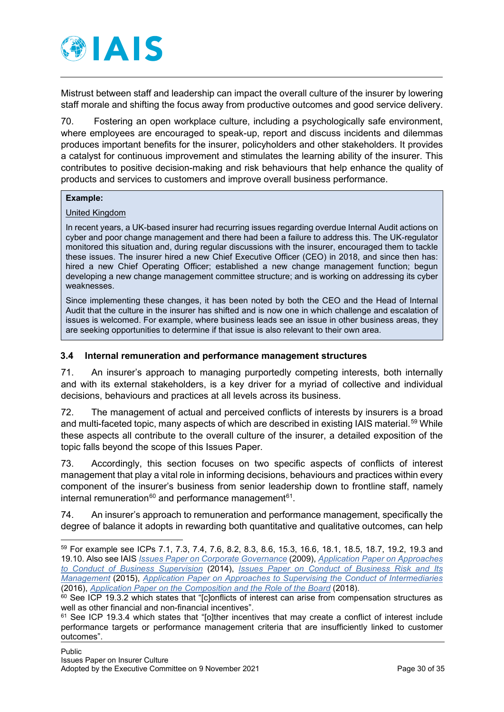

Mistrust between staff and leadership can impact the overall culture of the insurer by lowering staff morale and shifting the focus away from productive outcomes and good service delivery.

70. Fostering an open workplace culture, including a psychologically safe environment, where employees are encouraged to speak-up, report and discuss incidents and dilemmas produces important benefits for the insurer, policyholders and other stakeholders. It provides a catalyst for continuous improvement and stimulates the learning ability of the insurer. This contributes to positive decision-making and risk behaviours that help enhance the quality of products and services to customers and improve overall business performance.

#### **Example:**

United Kingdom

In recent years, a UK-based insurer had recurring issues regarding overdue Internal Audit actions on cyber and poor change management and there had been a failure to address this. The UK-regulator monitored this situation and, during regular discussions with the insurer, encouraged them to tackle these issues. The insurer hired a new Chief Executive Officer (CEO) in 2018, and since then has: hired a new Chief Operating Officer; established a new change management function; begun developing a new change management committee structure; and is working on addressing its cyber weaknesses.

Since implementing these changes, it has been noted by both the CEO and the Head of Internal Audit that the culture in the insurer has shifted and is now one in which challenge and escalation of issues is welcomed. For example, where business leads see an issue in other business areas, they are seeking opportunities to determine if that issue is also relevant to their own area.

## <span id="page-29-0"></span>**3.4 Internal remuneration and performance management structures**

71. An insurer's approach to managing purportedly competing interests, both internally and with its external stakeholders, is a key driver for a myriad of collective and individual decisions, behaviours and practices at all levels across its business.

72. The management of actual and perceived conflicts of interests by insurers is a broad and multi-faceted topic, many aspects of which are described in existing IAIS material.<sup>[59](#page-29-1)</sup> While these aspects all contribute to the overall culture of the insurer, a detailed exposition of the topic falls beyond the scope of this Issues Paper.

73. Accordingly, this section focuses on two specific aspects of conflicts of interest management that play a vital role in informing decisions, behaviours and practices within every component of the insurer's business from senior leadership down to frontline staff, namely internal remuneration $60$  and performance management $61$ .

74. An insurer's approach to remuneration and performance management, specifically the degree of balance it adopts in rewarding both quantitative and qualitative outcomes, can help

<span id="page-29-1"></span><sup>59</sup> For example see ICPs 7.1, 7.3, 7.4, 7.6, 8.2, 8.3, 8.6, 15.3, 16.6, 18.1, 18.5, 18.7, 19.2, 19.3 and 19.10. Also see IAIS *[Issues Paper on Corporate Governance](https://www.iaisweb.org/page/supervisory-material/issues-papers/file/34277/issues-paper-on-corporate-governance-july-2009)* (2009), *[Application Paper on Approaches](https://www.iaisweb.org/page/supervisory-material/application-papers/file/34552/application-paper-on-approaches-to-conduct-of-business-supervision)  to Conduct [of Business Supervision](https://www.iaisweb.org/page/supervisory-material/application-papers/file/34552/application-paper-on-approaches-to-conduct-of-business-supervision)* (2014), *[Issues Paper on Conduct of Business Risk and Its](https://www.iaisweb.org/page/supervisory-material/issues-papers/file/57927/issues-paper-on-conduct-of-business-risk-and-its-management)  [Management](https://www.iaisweb.org/page/supervisory-material/issues-papers/file/57927/issues-paper-on-conduct-of-business-risk-and-its-management)* (2015), *[Application Paper on Approaches to Supervising the Conduct of Intermediaries](https://www.iaisweb.org/page/supervisory-material/application-papers/file/63297/application-paper-on-intermediaries-supervision-final)* (2016), *[Application Paper on the Composition and the Role of the Board](https://www.iaisweb.org/page/supervisory-material/application-papers/file/77741/application-paper-on-the-composition-and-the-role-of-the-board)* (2018).

<span id="page-29-2"></span> $60$  See ICP 19.3.2 which states that "[c]onflicts of interest can arise from compensation structures as well as other financial and non-financial incentives".

<span id="page-29-3"></span><sup>61</sup> See ICP 19.3.4 which states that "[o]ther incentives that may create a conflict of interest include performance targets or performance management criteria that are insufficiently linked to customer outcomes".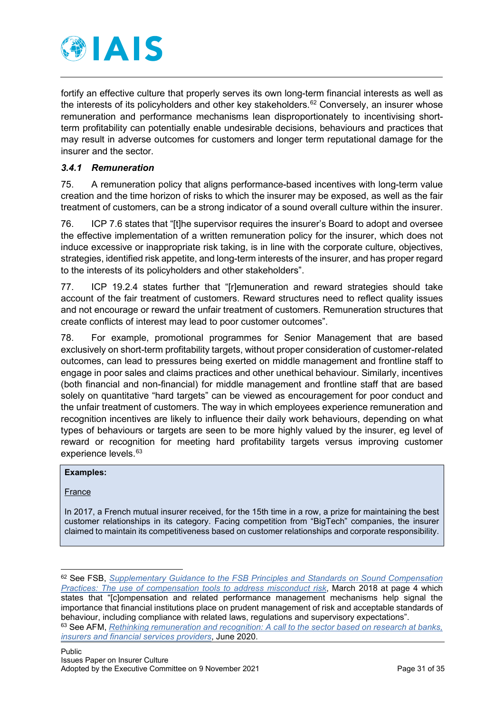

fortify an effective culture that properly serves its own long-term financial interests as well as the interests of its policyholders and other key stakeholders.<sup>62</sup> Conversely, an insurer whose remuneration and performance mechanisms lean disproportionately to incentivising shortterm profitability can potentially enable undesirable decisions, behaviours and practices that may result in adverse outcomes for customers and longer term reputational damage for the insurer and the sector.

# <span id="page-30-0"></span>*3.4.1 Remuneration*

75. A remuneration policy that aligns performance-based incentives with long-term value creation and the time horizon of risks to which the insurer may be exposed, as well as the fair treatment of customers, can be a strong indicator of a sound overall culture within the insurer.

76. ICP 7.6 states that "[t]he supervisor requires the insurer's Board to adopt and oversee the effective implementation of a written remuneration policy for the insurer, which does not induce excessive or inappropriate risk taking, is in line with the corporate culture, objectives, strategies, identified risk appetite, and long-term interests of the insurer, and has proper regard to the interests of its policyholders and other stakeholders".

77. ICP 19.2.4 states further that "[r]emuneration and reward strategies should take account of the fair treatment of customers. Reward structures need to reflect quality issues and not encourage or reward the unfair treatment of customers. Remuneration structures that create conflicts of interest may lead to poor customer outcomes".

78. For example, promotional programmes for Senior Management that are based exclusively on short-term profitability targets, without proper consideration of customer-related outcomes, can lead to pressures being exerted on middle management and frontline staff to engage in poor sales and claims practices and other unethical behaviour. Similarly, incentives (both financial and non-financial) for middle management and frontline staff that are based solely on quantitative "hard targets" can be viewed as encouragement for poor conduct and the unfair treatment of customers. The way in which employees experience remuneration and recognition incentives are likely to influence their daily work behaviours, depending on what types of behaviours or targets are seen to be more highly valued by the insurer, eg level of reward or recognition for meeting hard profitability targets versus improving customer experience levels.<sup>[63](#page-30-2)</sup>

#### **Examples:**

France

In 2017, a French mutual insurer received, for the 15th time in a row, a prize for maintaining the best customer relationships in its category. Facing competition from "BigTech" companies, the insurer claimed to maintain its competitiveness based on customer relationships and corporate responsibility.

<span id="page-30-1"></span><sup>62</sup> See FSB, *[Supplementary Guidance to the FSB Principles and Standards on Sound Compensation](https://www.fsb.org/wp-content/uploads/P090318-1.pdf)  [Practices: The use of compensation tools to address misconduct risk](https://www.fsb.org/wp-content/uploads/P090318-1.pdf)*, March 2018 at page 4 which states that "[c]ompensation and related performance management mechanisms help signal the importance that financial institutions place on prudent management of risk and acceptable standards of behaviour, including compliance with related laws, regulations and supervisory expectations".

<span id="page-30-2"></span><sup>63</sup> See AFM, *[Rethinking remuneration and recognition: A call to the sector based on research at banks,](https://www.afm.nl/%7E/profmedia/files/onderwerpen/gedrag-cultuur/rethinking-remuneration-and-recognition.pdf?la=en)  [insurers and financial services providers](https://www.afm.nl/%7E/profmedia/files/onderwerpen/gedrag-cultuur/rethinking-remuneration-and-recognition.pdf?la=en)*, June 2020.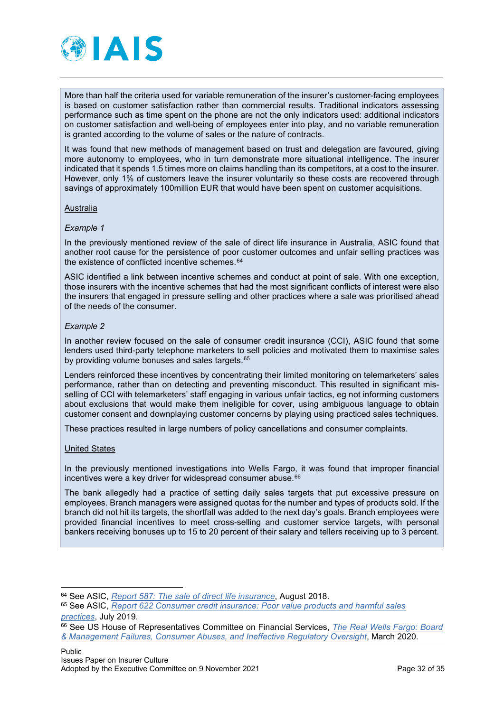

More than half the criteria used for variable remuneration of the insurer's customer-facing employees is based on customer satisfaction rather than commercial results. Traditional indicators assessing performance such as time spent on the phone are not the only indicators used: additional indicators on customer satisfaction and well-being of employees enter into play, and no variable remuneration is granted according to the volume of sales or the nature of contracts.

It was found that new methods of management based on trust and delegation are favoured, giving more autonomy to employees, who in turn demonstrate more situational intelligence. The insurer indicated that it spends 1.5 times more on claims handling than its competitors, at a cost to the insurer. However, only 1% of customers leave the insurer voluntarily so these costs are recovered through savings of approximately 100million EUR that would have been spent on customer acquisitions.

#### Australia

#### *Example 1*

In the previously mentioned review of the sale of direct life insurance in Australia, ASIC found that another root cause for the persistence of poor customer outcomes and unfair selling practices was the existence of conflicted incentive schemes.<sup>[64](#page-31-0)</sup>

ASIC identified a link between incentive schemes and conduct at point of sale. With one exception, those insurers with the incentive schemes that had the most significant conflicts of interest were also the insurers that engaged in pressure selling and other practices where a sale was prioritised ahead of the needs of the consumer.

#### *Example 2*

In another review focused on the sale of consumer credit insurance (CCI), ASIC found that some lenders used third-party telephone marketers to sell policies and motivated them to maximise sales by providing volume bonuses and sales targets.<sup>[65](#page-31-1)</sup>

Lenders reinforced these incentives by concentrating their limited monitoring on telemarketers' sales performance, rather than on detecting and preventing misconduct. This resulted in significant misselling of CCI with telemarketers' staff engaging in various unfair tactics, eg not informing customers about exclusions that would make them ineligible for cover, using ambiguous language to obtain customer consent and downplaying customer concerns by playing using practiced sales techniques.

These practices resulted in large numbers of policy cancellations and consumer complaints.

#### United States

In the previously mentioned investigations into Wells Fargo, it was found that improper financial incentives were a key driver for widespread consumer abuse.<sup>[66](#page-31-2)</sup>

The bank allegedly had a practice of setting daily sales targets that put excessive pressure on employees. Branch managers were assigned quotas for the number and types of products sold. If the branch did not hit its targets, the shortfall was added to the next day's goals. Branch employees were provided financial incentives to meet cross-selling and customer service targets, with personal bankers receiving bonuses up to 15 to 20 percent of their salary and tellers receiving up to 3 percent.

<span id="page-31-0"></span><sup>64</sup> See ASIC, *[Report 587: The sale of direct life insurance](https://download.asic.gov.au/media/4853336/rep587-published-30-august-2018-1.pdf)*, August 2018.

<span id="page-31-1"></span><sup>65</sup> See ASIC, *[Report 622 Consumer credit insurance: Poor value products and harmful sales](https://asic.gov.au/regulatory-resources/find-a-document/reports/rep-622-consumer-credit-insurance-poor-value-products-and-harmful-sales-practices/)  [practices](https://asic.gov.au/regulatory-resources/find-a-document/reports/rep-622-consumer-credit-insurance-poor-value-products-and-harmful-sales-practices/)*, July 2019.

<span id="page-31-2"></span><sup>66</sup> See US House of Representatives Committee on Financial Services, *[The Real Wells Fargo: Board](https://financialservices.house.gov/uploadedfiles/wells_fargo_staff_report_final_mm.pdf)  [& Management Failures, Consumer Abuses, and Ineffective Regulatory Oversight](https://financialservices.house.gov/uploadedfiles/wells_fargo_staff_report_final_mm.pdf)*, March 2020.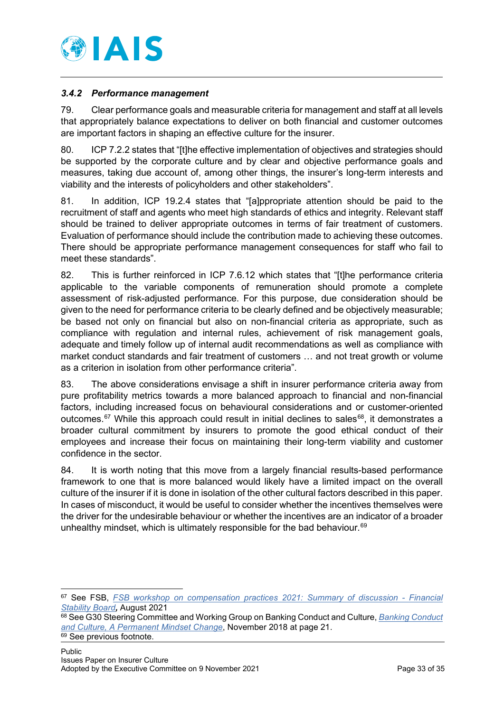

# <span id="page-32-0"></span>*3.4.2 Performance management*

79. Clear performance goals and measurable criteria for management and staff at all levels that appropriately balance expectations to deliver on both financial and customer outcomes are important factors in shaping an effective culture for the insurer.

80. ICP 7.2.2 states that "[t]he effective implementation of objectives and strategies should be supported by the corporate culture and by clear and objective performance goals and measures, taking due account of, among other things, the insurer's long-term interests and viability and the interests of policyholders and other stakeholders".

81. In addition, ICP 19.2.4 states that "[a]ppropriate attention should be paid to the recruitment of staff and agents who meet high standards of ethics and integrity. Relevant staff should be trained to deliver appropriate outcomes in terms of fair treatment of customers. Evaluation of performance should include the contribution made to achieving these outcomes. There should be appropriate performance management consequences for staff who fail to meet these standards".

82. This is further reinforced in ICP 7.6.12 which states that "[t]he performance criteria applicable to the variable components of remuneration should promote a complete assessment of risk-adjusted performance. For this purpose, due consideration should be given to the need for performance criteria to be clearly defined and be objectively measurable; be based not only on financial but also on non-financial criteria as appropriate, such as compliance with regulation and internal rules, achievement of risk management goals, adequate and timely follow up of internal audit recommendations as well as compliance with market conduct standards and fair treatment of customers … and not treat growth or volume as a criterion in isolation from other performance criteria".

83. The above considerations envisage a shift in insurer performance criteria away from pure profitability metrics towards a more balanced approach to financial and non-financial factors, including increased focus on behavioural considerations and or customer-oriented outcomes.<sup>[67](#page-32-1)</sup> While this approach could result in initial declines to sales<sup>[68](#page-32-2)</sup>, it demonstrates a broader cultural commitment by insurers to promote the good ethical conduct of their employees and increase their focus on maintaining their long-term viability and customer confidence in the sector.

84. It is worth noting that this move from a largely financial results-based performance framework to one that is more balanced would likely have a limited impact on the overall culture of the insurer if it is done in isolation of the other cultural factors described in this paper. In cases of misconduct, it would be useful to consider whether the incentives themselves were the driver for the undesirable behaviour or whether the incentives are an indicator of a broader unhealthy mindset, which is ultimately responsible for the bad behaviour.<sup>[69](#page-32-3)</sup>

<span id="page-32-1"></span><sup>67</sup> See FSB, *[FSB workshop on compensation practices 2021: Summary of discussion -](https://www.fsb.org/2021/08/fsb-workshop-on-compensation-practices-2021-summary-of-discussion/) Financial [Stability Board](https://www.fsb.org/2021/08/fsb-workshop-on-compensation-practices-2021-summary-of-discussion/),* August 2021

<span id="page-32-2"></span><sup>68</sup> See G30 Steering Committee and Working Group on Banking Conduct and Culture, *[Banking Conduct](https://group30.org/images/uploads/publications/aaG30_Culture2018.pdf)  and Culture, A [Permanent Mindset Change](https://group30.org/images/uploads/publications/aaG30_Culture2018.pdf)*, November 2018 at page 21.

<span id="page-32-3"></span><sup>&</sup>lt;sup>69</sup> See previous footnote.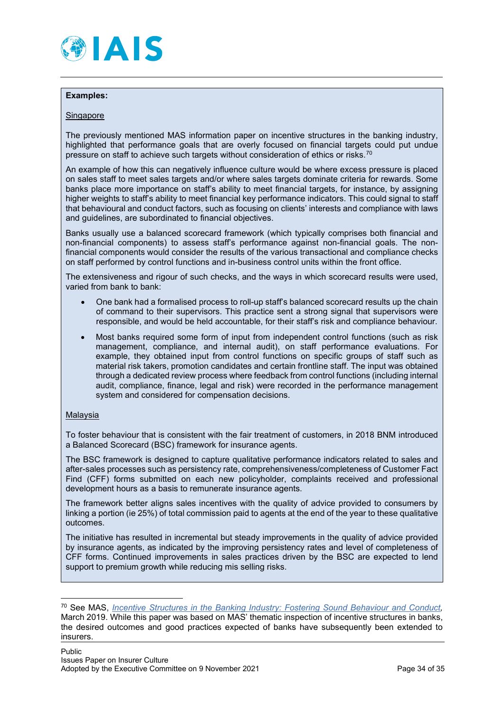

#### **Examples:**

#### **Singapore**

The previously mentioned MAS information paper on incentive structures in the banking industry, highlighted that performance goals that are overly focused on financial targets could put undue pressure on staff to achieve such targets without consideration of ethics or risks.[70](#page-33-0)

An example of how this can negatively influence culture would be where excess pressure is placed on sales staff to meet sales targets and/or where sales targets dominate criteria for rewards. Some banks place more importance on staff's ability to meet financial targets, for instance, by assigning higher weights to staff's ability to meet financial key performance indicators. This could signal to staff that behavioural and conduct factors, such as focusing on clients' interests and compliance with laws and guidelines, are subordinated to financial objectives.

Banks usually use a balanced scorecard framework (which typically comprises both financial and non-financial components) to assess staff's performance against non-financial goals. The nonfinancial components would consider the results of the various transactional and compliance checks on staff performed by control functions and in-business control units within the front office.

The extensiveness and rigour of such checks, and the ways in which scorecard results were used, varied from bank to bank:

- One bank had a formalised process to roll-up staff's balanced scorecard results up the chain of command to their supervisors. This practice sent a strong signal that supervisors were responsible, and would be held accountable, for their staff's risk and compliance behaviour.
- Most banks required some form of input from independent control functions (such as risk management, compliance, and internal audit), on staff performance evaluations. For example, they obtained input from control functions on specific groups of staff such as material risk takers, promotion candidates and certain frontline staff. The input was obtained through a dedicated review process where feedback from control functions (including internal audit, compliance, finance, legal and risk) were recorded in the performance management system and considered for compensation decisions.

#### Malaysia

To foster behaviour that is consistent with the fair treatment of customers, in 2018 BNM introduced a Balanced Scorecard (BSC) framework for insurance agents.

The BSC framework is designed to capture qualitative performance indicators related to sales and after-sales processes such as persistency rate, comprehensiveness/completeness of Customer Fact Find (CFF) forms submitted on each new policyholder, complaints received and professional development hours as a basis to remunerate insurance agents.

The framework better aligns sales incentives with the quality of advice provided to consumers by linking a portion (ie 25%) of total commission paid to agents at the end of the year to these qualitative outcomes.

The initiative has resulted in incremental but steady improvements in the quality of advice provided by insurance agents, as indicated by the improving persistency rates and level of completeness of CFF forms. Continued improvements in sales practices driven by the BSC are expected to lend support to premium growth while reducing mis selling risks.

<span id="page-33-0"></span><sup>70</sup> See MAS, *[Incentive Structures in the Banking Industry: Fostering Sound Behaviour and Conduct,](https://www.mas.gov.sg/-/media/MAS/Publications/Monograph-or-Information-Paper/2019/Information-paper--Incentive-Structures-in-the-Banking-Industry.pdf)* March 2019. While this paper was based on MAS' thematic inspection of incentive structures in banks, the desired outcomes and good practices expected of banks have subsequently been extended to insurers.